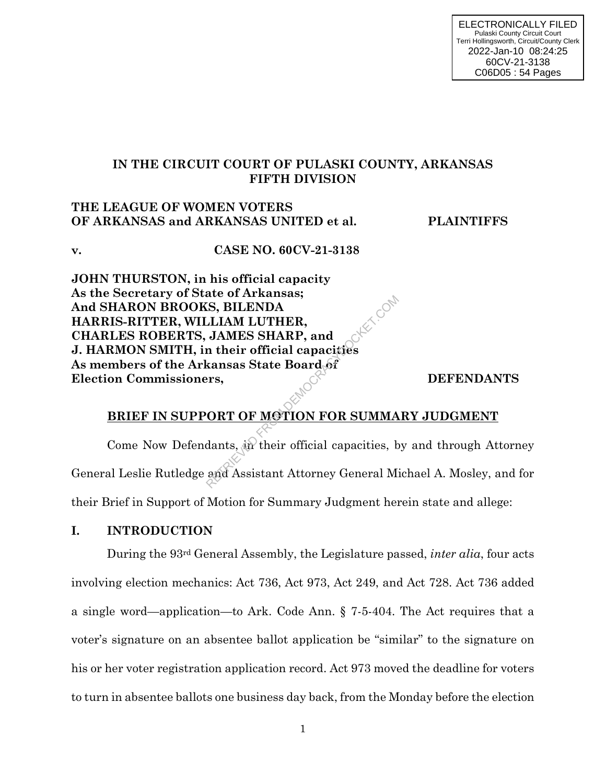# **IN THE CIRCUIT COURT OF PULASKI COUNTY, ARKANSAS FIFTH DIVISION**

## **THE LEAGUE OF WOMEN VOTERS OF ARKANSAS and ARKANSAS UNITED et al. PLAINTIFFS**

**v. CASE NO. 60CV-21-3138**

**JOHN THURSTON, in his official capacity As the Secretary of State of Arkansas; And SHARON BROOKS, BILENDA HARRIS-RITTER, WILLIAM LUTHER, CHARLES ROBERTS, JAMES SHARP, and J. HARMON SMITH, in their official capacities As members of the Arkansas State Board of Election Commissioners,**  $\bullet$  **DEFENDANTS** RETRIEVED AND SULTIMATED AND MANUTHER,<br>
JAMES SHARP, and<br>
in their official capacities<br>
kansas State Board of<br>
Prs,<br>
ORT OF MOTION FOR SUMMA<br>
dants, and their official capacities, b<br>
and Assistant Attorney General M

# **BRIEF IN SUPPORT OF MOTION FOR SUMMARY JUDGMENT**

Come Now Defendants,  $\langle \hat{w} \rangle$  their official capacities, by and through Attorney General Leslie Rutledge and Assistant Attorney General Michael A. Mosley, and for their Brief in Support of Motion for Summary Judgment herein state and allege:

# **I. INTRODUCTION**

During the 93rd General Assembly, the Legislature passed, *inter alia*, four acts involving election mechanics: Act 736, Act 973, Act 249, and Act 728. Act 736 added a single word—application—to Ark. Code Ann. § 7-5-404. The Act requires that a voter's signature on an absentee ballot application be "similar" to the signature on his or her voter registration application record. Act 973 moved the deadline for voters to turn in absentee ballots one business day back, from the Monday before the election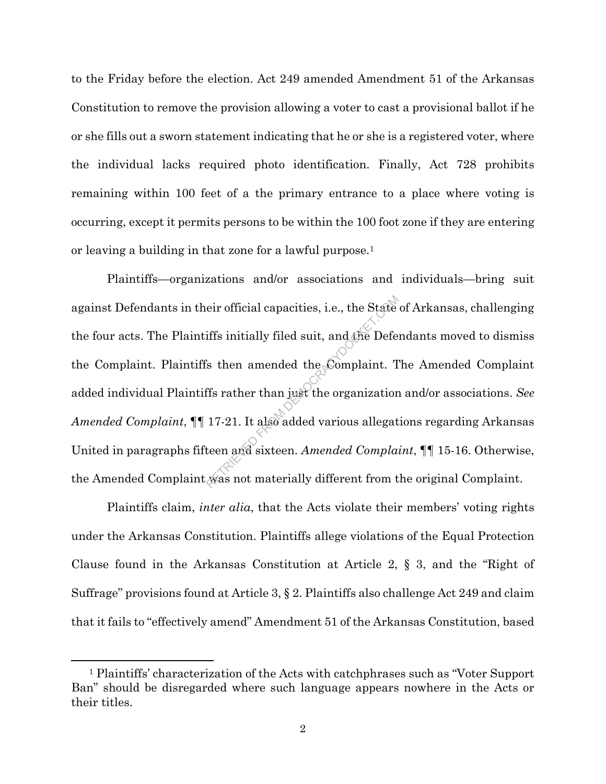to the Friday before the election. Act 249 amended Amendment 51 of the Arkansas Constitution to remove the provision allowing a voter to cast a provisional ballot if he or she fills out a sworn statement indicating that he or she is a registered voter, where the individual lacks required photo identification. Finally, Act 728 prohibits remaining within 100 feet of a the primary entrance to a place where voting is occurring, except it permits persons to be within the 100 foot zone if they are entering or leaving a building in that zone for a lawful purpose.<sup>1</sup>

Plaintiffs—organizations and/or associations and individuals—bring suit against Defendants in their official capacities, i.e., the State of Arkansas, challenging the four acts. The Plaintiffs initially filed suit, and the Defendants moved to dismiss the Complaint. Plaintiffs then amended the Complaint. The Amended Complaint added individual Plaintiffs rather than just the organization and/or associations. *See Amended Complaint*, ¶¶ 17-21. It also added various allegations regarding Arkansas United in paragraphs fifteen and sixteen. *Amended Complaint*, ¶¶ 15-16. Otherwise, the Amended Complaint was not materially different from the original Complaint. eir official capacities, i.e., the State<br>iffs initially filed suit, and the Defe<br>is then amended the Complaint. T<br>ffs rather than just the organization<br>17-21. It also added various allegat<br>teen and sixteen. Amended Complat

Plaintiffs claim, *inter alia*, that the Acts violate their members' voting rights under the Arkansas Constitution. Plaintiffs allege violations of the Equal Protection Clause found in the Arkansas Constitution at Article 2, § 3, and the "Right of Suffrage" provisions found at Article 3, § 2. Plaintiffs also challenge Act 249 and claim that it fails to "effectively amend" Amendment 51 of the Arkansas Constitution, based

 $\overline{\phantom{a}}$ 

<sup>1</sup> Plaintiffs' characterization of the Acts with catchphrases such as "Voter Support Ban" should be disregarded where such language appears nowhere in the Acts or their titles.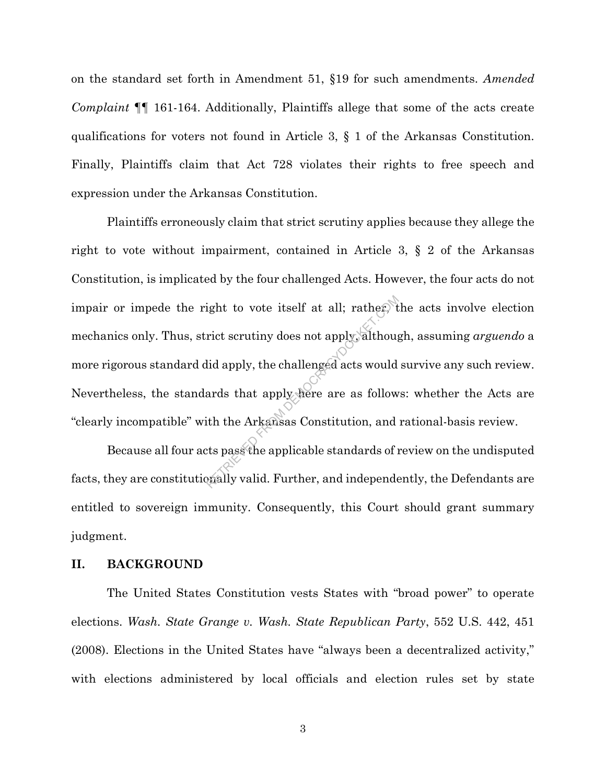on the standard set forth in Amendment 51, §19 for such amendments. *Amended Complaint* ¶¶ 161-164. Additionally, Plaintiffs allege that some of the acts create qualifications for voters not found in Article 3, § 1 of the Arkansas Constitution. Finally, Plaintiffs claim that Act 728 violates their rights to free speech and expression under the Arkansas Constitution.

Plaintiffs erroneously claim that strict scrutiny applies because they allege the right to vote without impairment, contained in Article 3, § 2 of the Arkansas Constitution, is implicated by the four challenged Acts. However, the four acts do not impair or impede the right to vote itself at all; rather, the acts involve election mechanics only. Thus, strict scrutiny does not apply, although, assuming *arguendo* a more rigorous standard did apply, the challenged acts would survive any such review. Nevertheless, the standards that apply here are as follows: whether the Acts are "clearly incompatible" with the Arkansas Constitution, and rational-basis review. ight to vote itself at all; rather, the<br>rict scrutiny does not apply, although<br>id apply, the challenged acts would<br>ards that apply here are as follow<br>ith the Arkansas Constitution, and<br>tts pass the applicable standards of

Because all four acts pass the applicable standards of review on the undisputed facts, they are constitutionally valid. Further, and independently, the Defendants are entitled to sovereign immunity. Consequently, this Court should grant summary judgment.

## **II. BACKGROUND**

The United States Constitution vests States with "broad power" to operate elections. *Wash. State Grange v. Wash. State Republican Party*, 552 U.S. 442, 451 (2008). Elections in the United States have "always been a decentralized activity," with elections administered by local officials and election rules set by state

3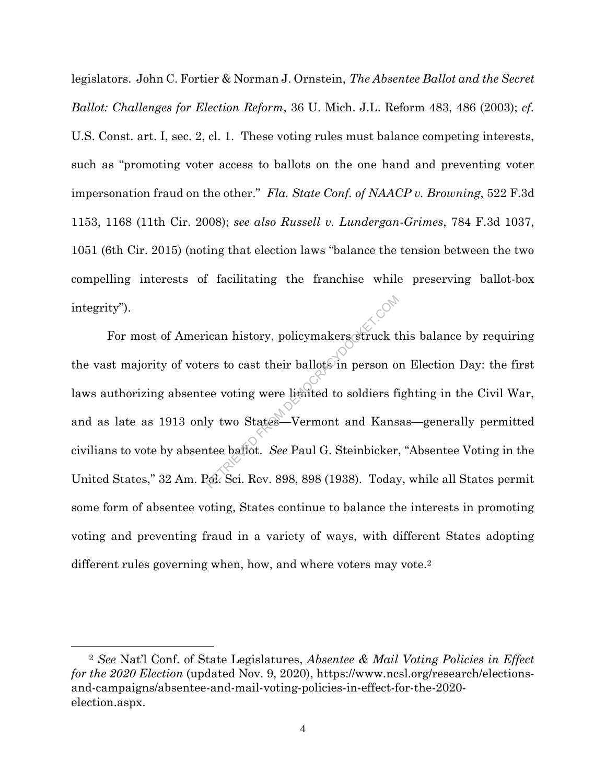legislators. John C. Fortier & Norman J. Ornstein, *The Absentee Ballot and the Secret Ballot: Challenges for Election Reform*, 36 U. Mich. J.L. Reform 483, 486 (2003); *cf.* U.S. Const. art. I, sec. 2, cl. 1. These voting rules must balance competing interests, such as "promoting voter access to ballots on the one hand and preventing voter impersonation fraud on the other." *Fla. State Conf. of NAACP v. Browning*, 522 F.3d 1153, 1168 (11th Cir. 2008); *see also Russell v. Lundergan-Grimes*, 784 F.3d 1037, 1051 (6th Cir. 2015) (noting that election laws "balance the tension between the two compelling interests of facilitating the franchise while preserving ballot-box integrity").

For most of American history, policymakers struck this balance by requiring the vast majority of voters to cast their ballots in person on Election Day: the first laws authorizing absentee voting were limited to soldiers fighting in the Civil War, and as late as 1913 only two States—Vermont and Kansas—generally permitted civilians to vote by absentee ballot. *See* Paul G. Steinbicker, "Absentee Voting in the United States," 32 Am. Pol. Sci. Rev. 898, 898 (1938). Today, while all States permit some form of absentee voting, States continue to balance the interests in promoting voting and preventing fraud in a variety of ways, with different States adopting different rules governing when, how, and where voters may vote.<sup>2</sup> Examples ideas.<br>Examples from the set of their ballots in person of the voting were limited to soldiers from the set of the States—Vermont and Kans<br>Retrieved States—Vermont and Kans<br>Retrieved States See Paul G. Steinbicker

 $\overline{\phantom{a}}$ 

<sup>2</sup> *See* Nat'l Conf. of State Legislatures, *Absentee & Mail Voting Policies in Effect for the 2020 Election* (updated Nov. 9, 2020), https://www.ncsl.org/research/electionsand-campaigns/absentee-and-mail-voting-policies-in-effect-for-the-2020 election.aspx.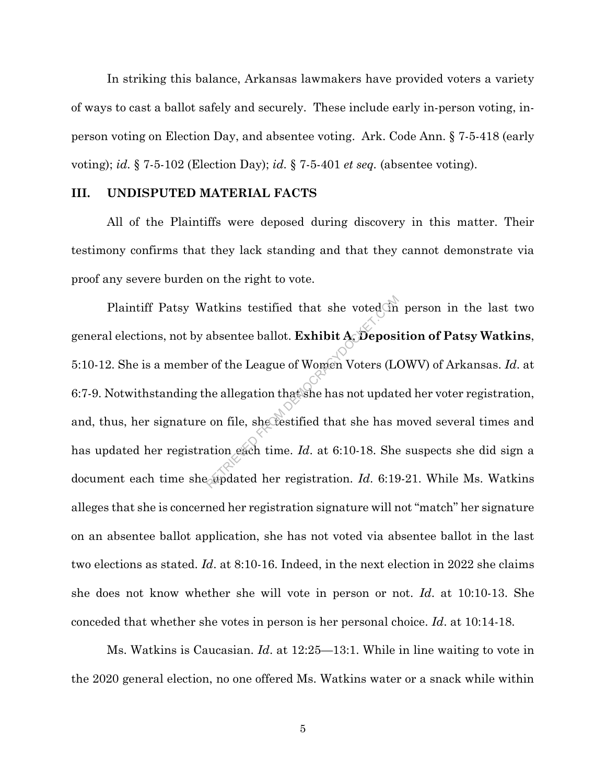In striking this balance, Arkansas lawmakers have provided voters a variety of ways to cast a ballot safely and securely. These include early in-person voting, inperson voting on Election Day, and absentee voting. Ark. Code Ann. § 7-5-418 (early voting); *id.* § 7-5-102 (Election Day); *id.* § 7-5-401 *et seq.* (absentee voting).

## **III. UNDISPUTED MATERIAL FACTS**

All of the Plaintiffs were deposed during discovery in this matter. Their testimony confirms that they lack standing and that they cannot demonstrate via proof any severe burden on the right to vote.

Plaintiff Patsy Watkins testified that she voted in person in the last two general elections, not by absentee ballot. **Exhibit A**, **Deposition of Patsy Watkins**, 5:10-12. She is a member of the League of Women Voters (LOWV) of Arkansas. *Id*. at 6:7-9. Notwithstanding the allegation that she has not updated her voter registration, and, thus, her signature on file, she testified that she has moved several times and has updated her registration each time. *Id*. at 6:10-18. She suspects she did sign a document each time she updated her registration. *Id*. 6:19-21. While Ms. Watkins alleges that she is concerned her registration signature will not "match" her signature on an absentee ballot application, she has not voted via absentee ballot in the last two elections as stated. *Id*. at 8:10-16. Indeed, in the next election in 2022 she claims she does not know whether she will vote in person or not. *Id*. at 10:10-13. She conceded that whether she votes in person is her personal choice. *Id*. at 10:14-18. The internal of Momen Voters (Last the League of Women Voters (Last of the League of Women Voters (Last the allegation that she has not updat on file, she testified that she has not updat ation each time.  $Id$  at 6:10-18.

Ms. Watkins is Caucasian. *Id*. at 12:25—13:1. While in line waiting to vote in the 2020 general election, no one offered Ms. Watkins water or a snack while within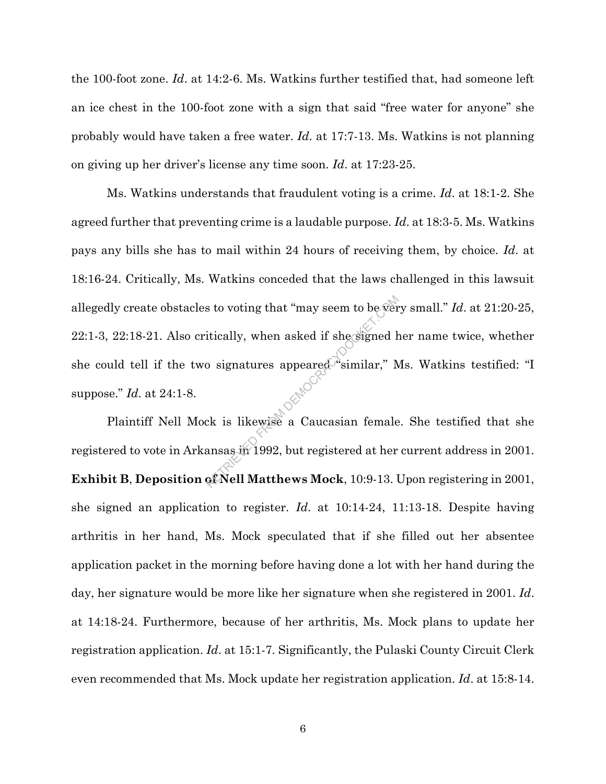the 100-foot zone. *Id*. at 14:2-6. Ms. Watkins further testified that, had someone left an ice chest in the 100-foot zone with a sign that said "free water for anyone" she probably would have taken a free water. *Id*. at 17:7-13. Ms. Watkins is not planning on giving up her driver's license any time soon. *Id*. at 17:23-25.

Ms. Watkins understands that fraudulent voting is a crime. *Id*. at 18:1-2. She agreed further that preventing crime is a laudable purpose. *Id*. at 18:3-5. Ms. Watkins pays any bills she has to mail within 24 hours of receiving them, by choice. *Id*. at 18:16-24. Critically, Ms. Watkins conceded that the laws challenged in this lawsuit allegedly create obstacles to voting that "may seem to be very small." *Id*. at 21:20-25, 22:1-3, 22:18-21. Also critically, when asked if she signed her name twice, whether she could tell if the two signatures appeared "similar," Ms. Watkins testified: "I suppose." *Id*. at 24:1-8. Retaining that "may seem to be vert<br>itically, when asked if she signed ho<br>signatures appeared "similar," N<br>ck is likewise a Caucasian female<br>ansas in 1992, but registered at her<br>of Nell Matthews Mock, 10:9-13.

Plaintiff Nell Mock is likewise a Caucasian female. She testified that she registered to vote in Arkansas in 1992, but registered at her current address in 2001. **Exhibit B**, **Deposition of Nell Matthews Mock**, 10:9-13. Upon registering in 2001, she signed an application to register. *Id*. at 10:14-24, 11:13-18. Despite having arthritis in her hand, Ms. Mock speculated that if she filled out her absentee application packet in the morning before having done a lot with her hand during the day, her signature would be more like her signature when she registered in 2001. *Id*. at 14:18-24. Furthermore, because of her arthritis, Ms. Mock plans to update her registration application. *Id*. at 15:1-7. Significantly, the Pulaski County Circuit Clerk even recommended that Ms. Mock update her registration application. *Id*. at 15:8-14.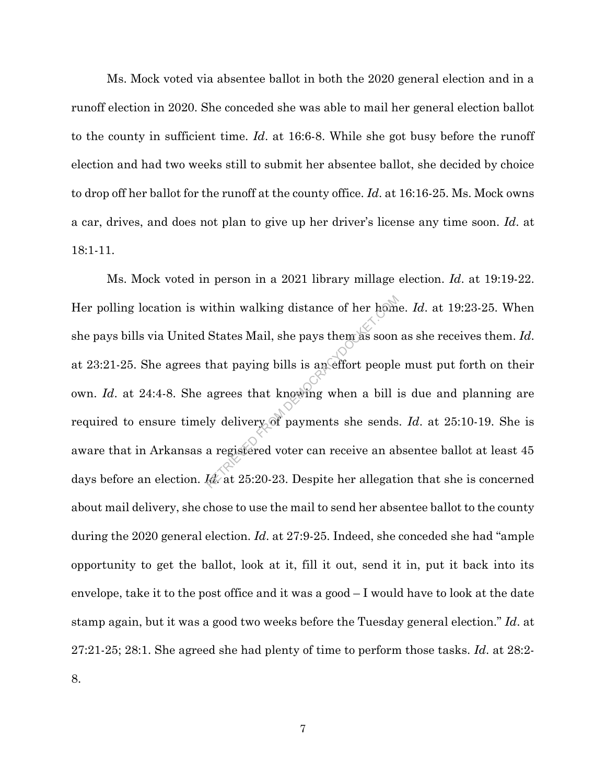Ms. Mock voted via absentee ballot in both the 2020 general election and in a runoff election in 2020. She conceded she was able to mail her general election ballot to the county in sufficient time. *Id*. at 16:6-8. While she got busy before the runoff election and had two weeks still to submit her absentee ballot, she decided by choice to drop off her ballot for the runoff at the county office. *Id*. at 16:16-25. Ms. Mock owns a car, drives, and does not plan to give up her driver's license any time soon. *Id*. at 18:1-11.

Ms. Mock voted in person in a 2021 library millage election. *Id*. at 19:19-22. Her polling location is within walking distance of her home. *Id*. at 19:23-25. When she pays bills via United States Mail, she pays them as soon as she receives them. *Id*. at 23:21-25. She agrees that paying bills is an effort people must put forth on their own. *Id*. at 24:4-8. She agrees that knowing when a bill is due and planning are required to ensure timely delivery of payments she sends. *Id*. at 25:10-19. She is aware that in Arkansas a registered voter can receive an absentee ballot at least 45 days before an election. *Id*. at 25:20-23. Despite her allegation that she is concerned about mail delivery, she chose to use the mail to send her absentee ballot to the county during the 2020 general election. *Id*. at 27:9-25. Indeed, she conceded she had "ample opportunity to get the ballot, look at it, fill it out, send it in, put it back into its envelope, take it to the post office and it was a good – I would have to look at the date stamp again, but it was a good two weeks before the Tuesday general election." *Id*. at 27:21-25; 28:1. She agreed she had plenty of time to perform those tasks. *Id*. at 28:2- 8. vithin walking distance of her home<br>States Mail, she pays them as soon<br>that paying bills is an effort people<br>agrees that knowing when a bill i<br>ly delivery of payments she sends<br>a registered voter can receive an ak<br>deat 25: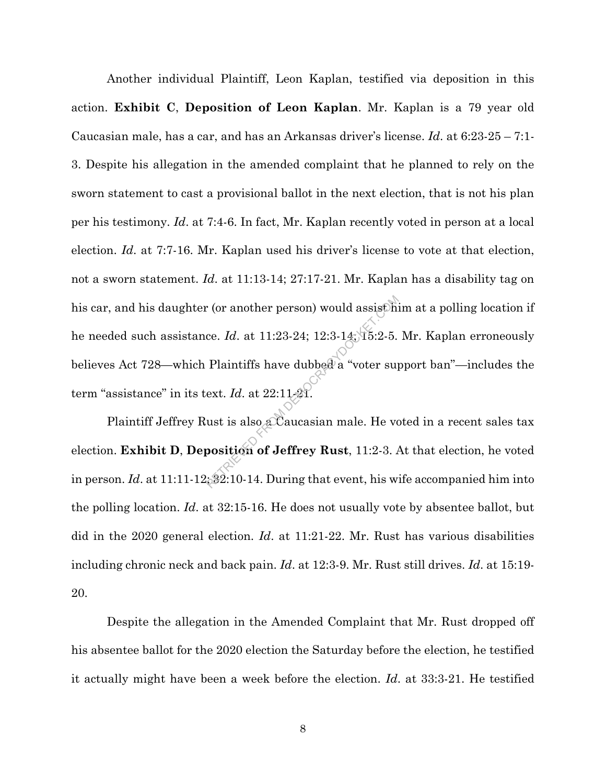Another individual Plaintiff, Leon Kaplan, testified via deposition in this action. **Exhibit C**, **Deposition of Leon Kaplan**. Mr. Kaplan is a 79 year old Caucasian male, has a car, and has an Arkansas driver's license. *Id*. at 6:23-25 – 7:1- 3. Despite his allegation in the amended complaint that he planned to rely on the sworn statement to cast a provisional ballot in the next election, that is not his plan per his testimony. *Id*. at 7:4-6. In fact, Mr. Kaplan recently voted in person at a local election. *Id*. at 7:7-16. Mr. Kaplan used his driver's license to vote at that election, not a sworn statement. *Id*. at 11:13-14; 27:17-21. Mr. Kaplan has a disability tag on his car, and his daughter (or another person) would assist him at a polling location if he needed such assistance. *Id*. at 11:23-24; 12:3-14; 15:2-5. Mr. Kaplan erroneously believes Act 728—which Plaintiffs have dubbed a "voter support ban"—includes the term "assistance" in its text. *Id*. at 22:11-21. r (or another person) would assist the<br>ce. Id. at 11:23-24; 12:3-14; 15:2-5.<br>Plaintiffs have dubbed a "voter supext. Id. at 22:11-21.<br>ust is also a Caucasian male. He vo<br>position of Jeffrey Rust, 11:2-3.

Plaintiff Jeffrey Rust is also a Caucasian male. He voted in a recent sales tax election. **Exhibit D**, **Deposition of Jeffrey Rust**, 11:2-3. At that election, he voted in person. *Id*. at 11:11-12; 32:10-14. During that event, his wife accompanied him into the polling location. *Id*. at 32:15-16. He does not usually vote by absentee ballot, but did in the 2020 general election. *Id*. at 11:21-22. Mr. Rust has various disabilities including chronic neck and back pain. *Id*. at 12:3-9. Mr. Rust still drives. *Id*. at 15:19- 20.

Despite the allegation in the Amended Complaint that Mr. Rust dropped off his absentee ballot for the 2020 election the Saturday before the election, he testified it actually might have been a week before the election. *Id*. at 33:3-21. He testified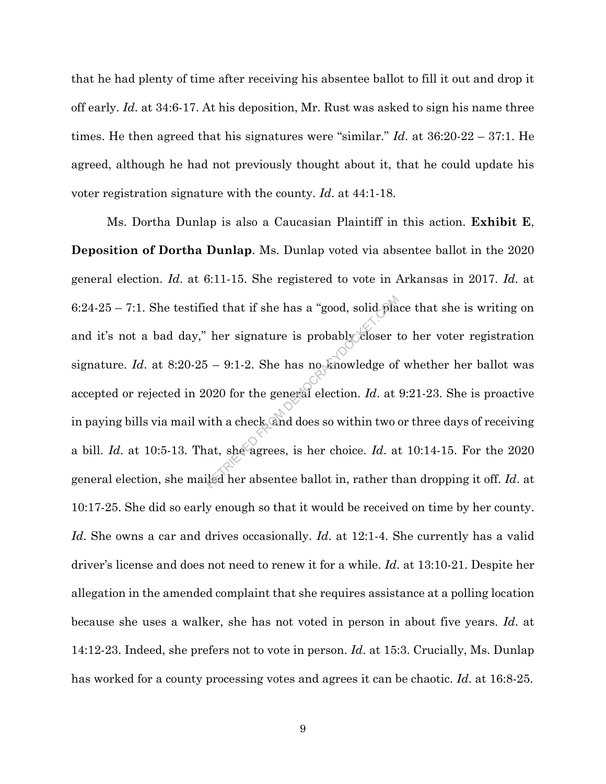that he had plenty of time after receiving his absentee ballot to fill it out and drop it off early. *Id*. at 34:6-17. At his deposition, Mr. Rust was asked to sign his name three times. He then agreed that his signatures were "similar." *Id*. at 36:20-22 – 37:1. He agreed, although he had not previously thought about it, that he could update his voter registration signature with the county. *Id*. at 44:1-18.

Ms. Dortha Dunlap is also a Caucasian Plaintiff in this action. **Exhibit E**, **Deposition of Dortha Dunlap**. Ms. Dunlap voted via absentee ballot in the 2020 general election. *Id*. at 6:11-15. She registered to vote in Arkansas in 2017. *Id*. at 6:24-25 – 7:1. She testified that if she has a "good, solid place that she is writing on and it's not a bad day," her signature is probably closer to her voter registration signature. *Id.* at  $8:20-25 - 9:1-2$ . She has no knowledge of whether her ballot was accepted or rejected in 2020 for the general election. *Id*. at 9:21-23. She is proactive in paying bills via mail with a check, and does so within two or three days of receiving a bill. *Id*. at 10:5-13. That, she agrees, is her choice. *Id*. at 10:14-15. For the 2020 general election, she mailed her absentee ballot in, rather than dropping it off. *Id*. at 10:17-25. She did so early enough so that it would be received on time by her county. *Id*. She owns a car and drives occasionally. *Id*. at 12:1-4. She currently has a valid driver's license and does not need to renew it for a while. *Id*. at 13:10-21. Despite her allegation in the amended complaint that she requires assistance at a polling location because she uses a walker, she has not voted in person in about five years. *Id*. at 14:12-23. Indeed, she prefers not to vote in person. *Id*. at 15:3. Crucially, Ms. Dunlap has worked for a county processing votes and agrees it can be chaotic. *Id*. at 16:8-25. ed that if she has a "good, solid planet"<br>her signature is probably closer to  $-9:1-2$ . She has no knowledge of<br>020 for the general election. Id. at<br>ith a check and does so within two of<br>at, she agrees, is her choice. Id.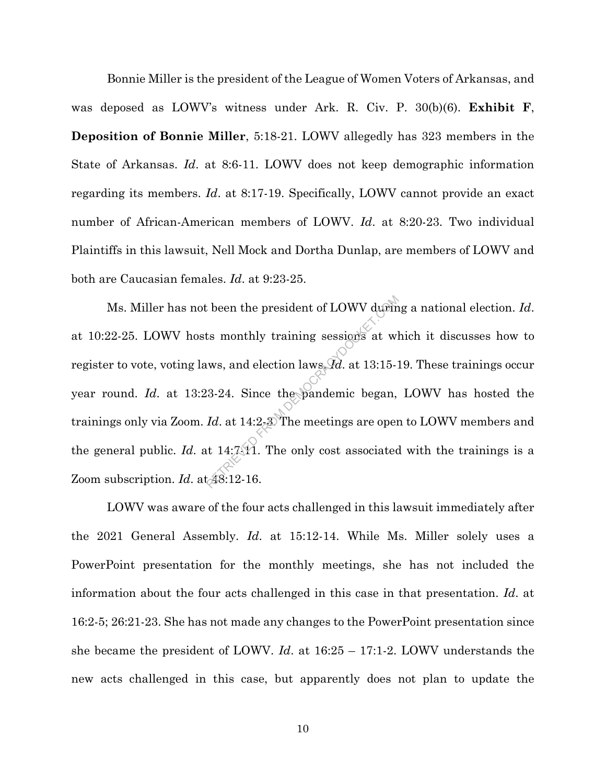Bonnie Miller is the president of the League of Women Voters of Arkansas, and was deposed as LOWV's witness under Ark. R. Civ. P. 30(b)(6). **Exhibit F**, **Deposition of Bonnie Miller**, 5:18-21. LOWV allegedly has 323 members in the State of Arkansas. *Id*. at 8:6-11. LOWV does not keep demographic information regarding its members. *Id*. at 8:17-19. Specifically, LOWV cannot provide an exact number of African-American members of LOWV. *Id*. at 8:20-23. Two individual Plaintiffs in this lawsuit, Nell Mock and Dortha Dunlap, are members of LOWV and both are Caucasian females. *Id*. at 9:23-25.

Ms. Miller has not been the president of LOWV during a national election. *Id*. at 10:22-25. LOWV hosts monthly training sessions at which it discusses how to register to vote, voting laws, and election laws. *Id*. at 13:15-19. These trainings occur year round. *Id*. at 13:23-24. Since the pandemic began, LOWV has hosted the trainings only via Zoom. *Id*. at 14:2-3. The meetings are open to LOWV members and the general public. *Id.* at  $14:7.11$ . The only cost associated with the trainings is a Zoom subscription. *Id*. at 48:12-16. External to the president of LOWV during<br>ts monthly training sessions at wlarks, and election laws,  $\overline{\mathcal{A}}$  at 13:15-1<br>13-24. Since the pandemic began,<br>*Id.* at 14:2-3 The meetings are oper<br>tt 14:7.11. The only cost a

LOWV was aware of the four acts challenged in this lawsuit immediately after the 2021 General Assembly. *Id*. at 15:12-14. While Ms. Miller solely uses a PowerPoint presentation for the monthly meetings, she has not included the information about the four acts challenged in this case in that presentation. *Id*. at 16:2-5; 26:21-23. She has not made any changes to the PowerPoint presentation since she became the president of LOWV. *Id*. at 16:25 – 17:1-2. LOWV understands the new acts challenged in this case, but apparently does not plan to update the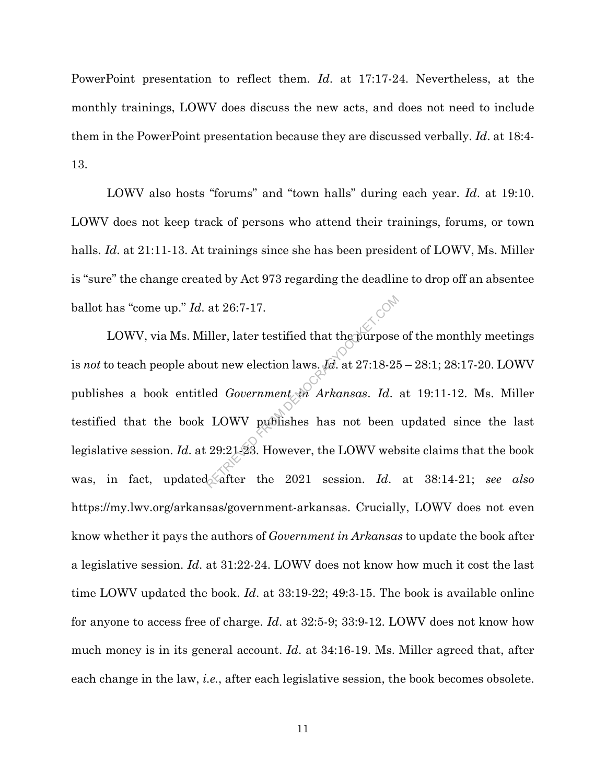PowerPoint presentation to reflect them. *Id*. at 17:17-24. Nevertheless, at the monthly trainings, LOWV does discuss the new acts, and does not need to include them in the PowerPoint presentation because they are discussed verbally. *Id*. at 18:4- 13.

LOWV also hosts "forums" and "town halls" during each year. *Id*. at 19:10. LOWV does not keep track of persons who attend their trainings, forums, or town halls. *Id.* at 21:11-13. At trainings since she has been president of LOWV, Ms. Miller is "sure" the change created by Act 973 regarding the deadline to drop off an absentee ballot has "come up." *Id*. at 26:7-17.

LOWV, via Ms. Miller, later testified that the purpose of the monthly meetings is *not* to teach people about new election laws. *Id*. at 27:18-25 – 28:1; 28:17-20. LOWV publishes a book entitled *Government in Arkansas*. *Id*. at 19:11-12. Ms. Miller testified that the book LOWV publishes has not been updated since the last legislative session. *Id*. at 29:21-23. However, the LOWV website claims that the book was, in fact, updated after the 2021 session. *Id.* at 38:14-21; see also https://my.lwv.org/arkansas/government-arkansas. Crucially, LOWV does not even know whether it pays the authors of *Government in Arkansas* to update the book after a legislative session. *Id*. at 31:22-24. LOWV does not know how much it cost the last time LOWV updated the book. *Id*. at 33:19-22; 49:3-15. The book is available online for anyone to access free of charge. *Id*. at 32:5-9; 33:9-12. LOWV does not know how much money is in its general account. *Id*. at 34:16-19. Ms. Miller agreed that, after each change in the law, *i.e.*, after each legislative session, the book becomes obsolete. at 26:7-17.<br>
iller, later testified that the purpose<br>
out new election laws.  $Id$ . at 27:18-28<br>
ed *Government* on *Arkansas. Id.*<br>
LOWV publishes has not been<br>
29:21-23. However, the LOWV web<br>
defter the 2021 session. Id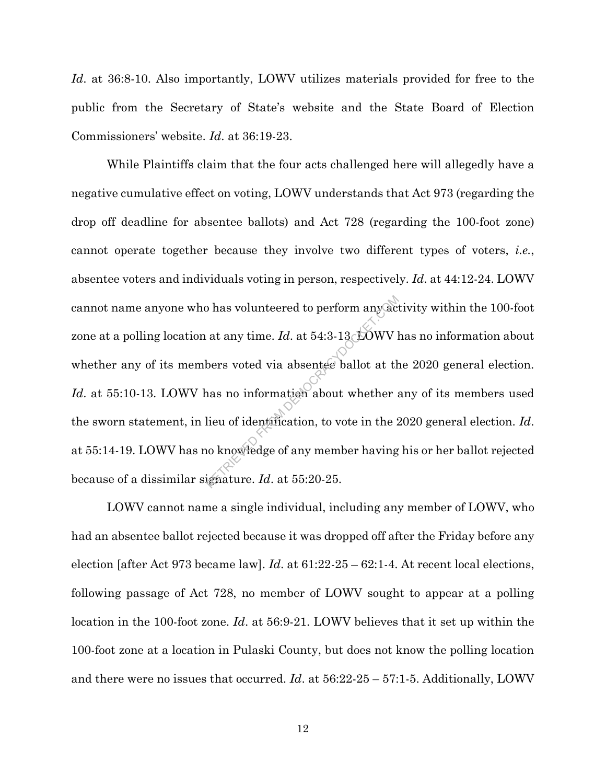*Id*. at 36:8-10. Also importantly, LOWV utilizes materials provided for free to the public from the Secretary of State's website and the State Board of Election Commissioners' website. *Id*. at 36:19-23.

While Plaintiffs claim that the four acts challenged here will allegedly have a negative cumulative effect on voting, LOWV understands that Act 973 (regarding the drop off deadline for absentee ballots) and Act 728 (regarding the 100-foot zone) cannot operate together because they involve two different types of voters, *i.e.*, absentee voters and individuals voting in person, respectively. *Id*. at 44:12-24. LOWV cannot name anyone who has volunteered to perform any activity within the 100-foot zone at a polling location at any time. *Id.* at 54:3-13. DOWV has no information about whether any of its members voted via absentee ballot at the 2020 general election. *Id.* at 55:10-13. LOWV has no information about whether any of its members used the sworn statement, in lieu of identification, to vote in the 2020 general election. *Id*. at 55:14-19. LOWV has no knowledge of any member having his or her ballot rejected because of a dissimilar signature. *Id*. at 55:20-25. between the perform any act at any time.  $Id$ . at 54:3-13 SOWV l<br>bers voted via absentee ballot at th<br>nas no information about whether :<br>lieu of identification, to vote in the 2<br>no knowledge of any member having<br>ignature.

LOWV cannot name a single individual, including any member of LOWV, who had an absentee ballot rejected because it was dropped off after the Friday before any election [after Act 973 became law]. *Id*. at 61:22-25 – 62:1-4. At recent local elections, following passage of Act 728, no member of LOWV sought to appear at a polling location in the 100-foot zone. *Id*. at 56:9-21. LOWV believes that it set up within the 100-foot zone at a location in Pulaski County, but does not know the polling location and there were no issues that occurred. *Id*. at 56:22-25 – 57:1-5. Additionally, LOWV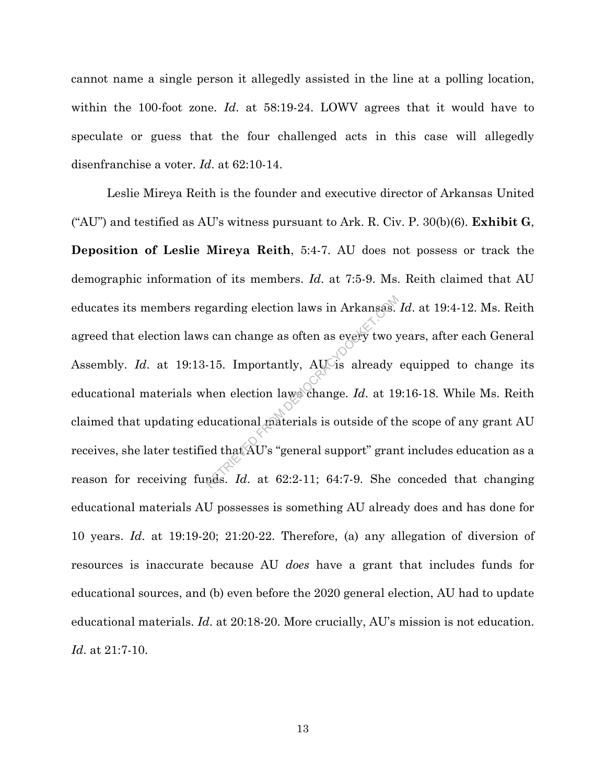cannot name a single person it allegedly assisted in the line at a polling location, within the 100-foot zone. *Id*. at 58:19-24. LOWV agrees that it would have to speculate or guess that the four challenged acts in this case will allegedly disenfranchise a voter. *Id*. at 62:10-14.

Leslie Mireya Reith is the founder and executive director of Arkansas United ("AU") and testified as AU's witness pursuant to Ark. R. Civ. P. 30(b)(6). **Exhibit G**, **Deposition of Leslie Mireya Reith**, 5:4-7. AU does not possess or track the demographic information of its members. *Id*. at 7:5-9. Ms. Reith claimed that AU educates its members regarding election laws in Arkansas. *Id*. at 19:4-12. Ms. Reith agreed that election laws can change as often as every two years, after each General Assembly. *Id.* at 19:13-15. Importantly, AU is already equipped to change its educational materials when election laws change. *Id*. at 19:16-18. While Ms. Reith claimed that updating educational materials is outside of the scope of any grant AU receives, she later testified that AU's "general support" grant includes education as a reason for receiving funds. *Id*. at 62:2-11; 64:7-9. She conceded that changing educational materials AU possesses is something AU already does and has done for 10 years. *Id*. at 19:19-20; 21:20-22. Therefore, (a) any allegation of diversion of resources is inaccurate because AU *does* have a grant that includes funds for educational sources, and (b) even before the 2020 general election, AU had to update educational materials. *Id*. at 20:18-20. More crucially, AU's mission is not education. *Id*. at 21:7-10. garding election laws in Arkansas.<br>
Sean change as often as every two y<br>
15. Importantly, AU is already<br>
hen election laws change. Id. at 19<br>
ducational materials is outside of the<br>
ed that AU's "general support" grantes.<br>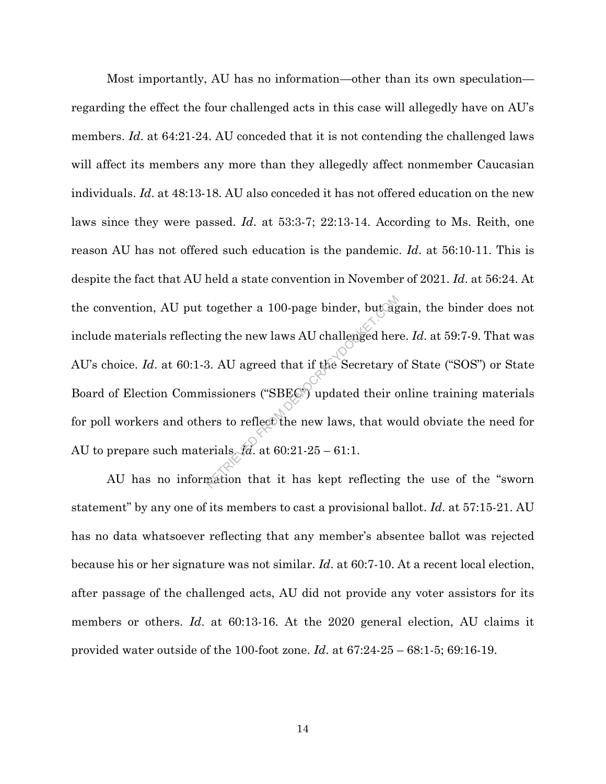Most importantly, AU has no information—other than its own speculation regarding the effect the four challenged acts in this case will allegedly have on AU's members. *Id*. at 64:21-24. AU conceded that it is not contending the challenged laws will affect its members any more than they allegedly affect nonmember Caucasian individuals. *Id*. at 48:13-18. AU also conceded it has not offered education on the new laws since they were passed. *Id*. at 53:3-7; 22:13-14. According to Ms. Reith, one reason AU has not offered such education is the pandemic. *Id*. at 56:10-11. This is despite the fact that AU held a state convention in November of 2021. *Id*. at 56:24. At the convention, AU put together a 100-page binder, but again, the binder does not include materials reflecting the new laws AU challenged here. *Id*. at 59:7-9. That was AU's choice. *Id*. at 60:1-3. AU agreed that if the Secretary of State ("SOS") or State Board of Election Commissioners ("SBEC") updated their online training materials for poll workers and others to reflect the new laws, that would obviate the need for AU to prepare such materials. *Id*. at 60:21-25 – 61:1. together a 100-page binder, but algoring the new laws AU challenged her<br>3. AU agreed that if the Secretary<br>issioners ("SBEC") updated their compared to reflect the new laws, that we<br>erials  $\mathcal{H}$  at 60:21-25 – 61:1.<br>pat

AU has no information that it has kept reflecting the use of the "sworn statement" by any one of its members to cast a provisional ballot. *Id*. at 57:15-21. AU has no data whatsoever reflecting that any member's absentee ballot was rejected because his or her signature was not similar. *Id*. at 60:7-10. At a recent local election, after passage of the challenged acts, AU did not provide any voter assistors for its members or others. *Id*. at 60:13-16. At the 2020 general election, AU claims it provided water outside of the 100-foot zone. *Id*. at 67:24-25 – 68:1-5; 69:16-19.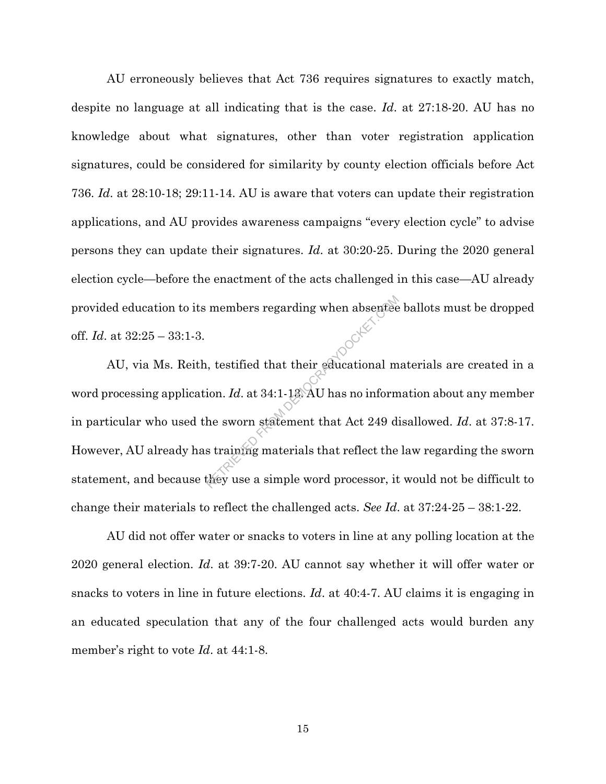AU erroneously believes that Act 736 requires signatures to exactly match, despite no language at all indicating that is the case. *Id*. at 27:18-20. AU has no knowledge about what signatures, other than voter registration application signatures, could be considered for similarity by county election officials before Act 736. *Id*. at 28:10-18; 29:11-14. AU is aware that voters can update their registration applications, and AU provides awareness campaigns "every election cycle" to advise persons they can update their signatures. *Id*. at 30:20-25. During the 2020 general election cycle—before the enactment of the acts challenged in this case—AU already provided education to its members regarding when absentee ballots must be dropped off. *Id*. at 32:25 – 33:1-3.

AU, via Ms. Reith, testified that their educational materials are created in a word processing application. *Id*. at 34:1-13. AU has no information about any member in particular who used the sworn statement that Act 249 disallowed. *Id*. at 37:8-17. However, AU already has training materials that reflect the law regarding the sworn statement, and because they use a simple word processor, it would not be difficult to change their materials to reflect the challenged acts. *See Id*. at 37:24-25 – 38:1-22. members regarding when absenteed<br>it, testified that their educational m<br>ion. Id. at 34:1-13: AU has no inform<br>he sworn statement that Act 249 d<br>s training materials that reflect the<br>they use a simple word processor, it

AU did not offer water or snacks to voters in line at any polling location at the 2020 general election. *Id*. at 39:7-20. AU cannot say whether it will offer water or snacks to voters in line in future elections. *Id*. at 40:4-7. AU claims it is engaging in an educated speculation that any of the four challenged acts would burden any member's right to vote *Id*. at 44:1-8.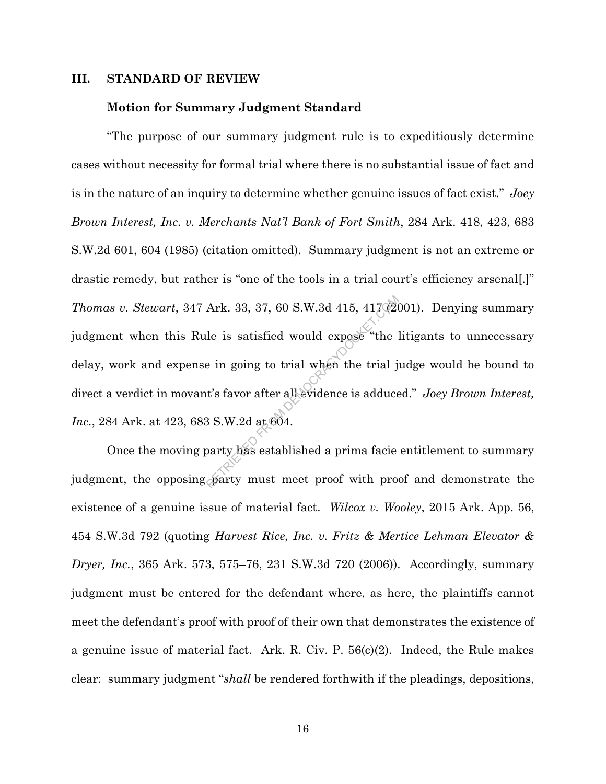### **III. STANDARD OF REVIEW**

#### **Motion for Summary Judgment Standard**

"The purpose of our summary judgment rule is to expeditiously determine cases without necessity for formal trial where there is no substantial issue of fact and is in the nature of an inquiry to determine whether genuine issues of fact exist." *Joey Brown Interest, Inc. v. Merchants Nat'l Bank of Fort Smith*, 284 Ark. 418, 423, 683 S.W.2d 601, 604 (1985) (citation omitted). Summary judgment is not an extreme or drastic remedy, but rather is "one of the tools in a trial court's efficiency arsenal[.]" *Thomas v. Stewart*, 347 Ark. 33, 37, 60 S.W.3d 415, 417 (2001). Denying summary judgment when this Rule is satisfied would expose "the litigants to unnecessary delay, work and expense in going to trial when the trial judge would be bound to direct a verdict in movant's favor after all evidence is adduced." *Joey Brown Interest, Inc.*, 284 Ark. at 423, 683 S.W.2d at 604. Ark. 33, 37, 60 S.W.3d 415, 417(22)<br>le is satisfied would expose "the :<br>e in going to trial when the trial j<br>it's favor after all evidence is adduce<br>3 S.W.2d at 604.<br>party has established a prima facie<br>party must meet proo

Once the moving party has established a prima facie entitlement to summary judgment, the opposing party must meet proof with proof and demonstrate the existence of a genuine issue of material fact. *Wilcox v. Wooley*, 2015 Ark. App. 56, 454 S.W.3d 792 (quoting *Harvest Rice, Inc. v. Fritz & Mertice Lehman Elevator & Dryer, Inc.*, 365 Ark. 573, 575–76, 231 S.W.3d 720 (2006)). Accordingly, summary judgment must be entered for the defendant where, as here, the plaintiffs cannot meet the defendant's proof with proof of their own that demonstrates the existence of a genuine issue of material fact. Ark. R. Civ. P. 56(c)(2). Indeed, the Rule makes clear: summary judgment "*shall* be rendered forthwith if the pleadings, depositions,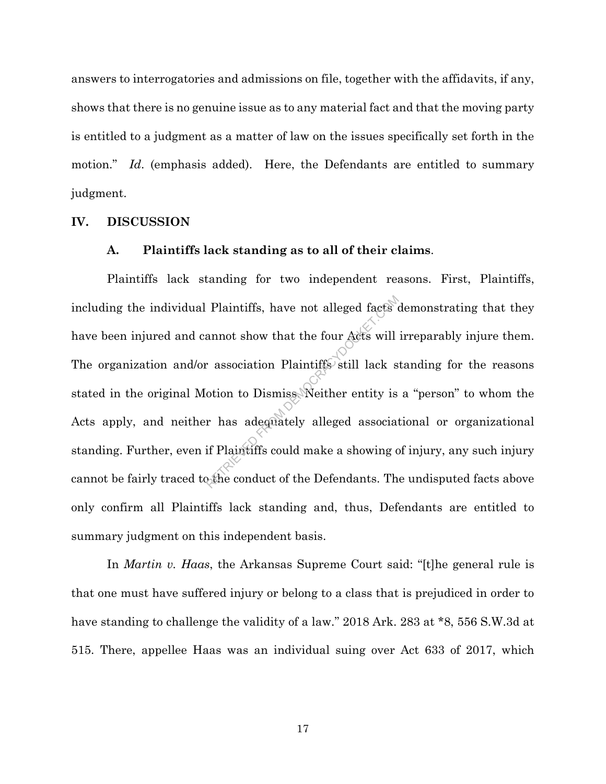answers to interrogatories and admissions on file, together with the affidavits, if any, shows that there is no genuine issue as to any material fact and that the moving party is entitled to a judgment as a matter of law on the issues specifically set forth in the motion." *Id*. (emphasis added). Here, the Defendants are entitled to summary judgment.

#### **IV. DISCUSSION**

#### **A. Plaintiffs lack standing as to all of their claims**.

Plaintiffs lack standing for two independent reasons. First, Plaintiffs, including the individual Plaintiffs, have not alleged facts demonstrating that they have been injured and cannot show that the four Acts will irreparably injure them. The organization and/or association Plaintiffs still lack standing for the reasons stated in the original Motion to Dismiss. Neither entity is a "person" to whom the Acts apply, and neither has adequately alleged associational or organizational standing. Further, even if Plaintiffs could make a showing of injury, any such injury cannot be fairly traced to the conduct of the Defendants. The undisputed facts above only confirm all Plaintiffs lack standing and, thus, Defendants are entitled to summary judgment on this independent basis. Plaintiffs, have not alleged facts and alleged facts will<br>
represent that the four Acts will<br>
represent to Dismiss Neither entity is<br>
represent that a showing computer of the Defendants. The<br>
represented to the Defendants.

In *Martin v. Haas*, the Arkansas Supreme Court said: "[t]he general rule is that one must have suffered injury or belong to a class that is prejudiced in order to have standing to challenge the validity of a law." 2018 Ark. 283 at  $*8$ , 556 S.W.3d at 515. There, appellee Haas was an individual suing over Act 633 of 2017, which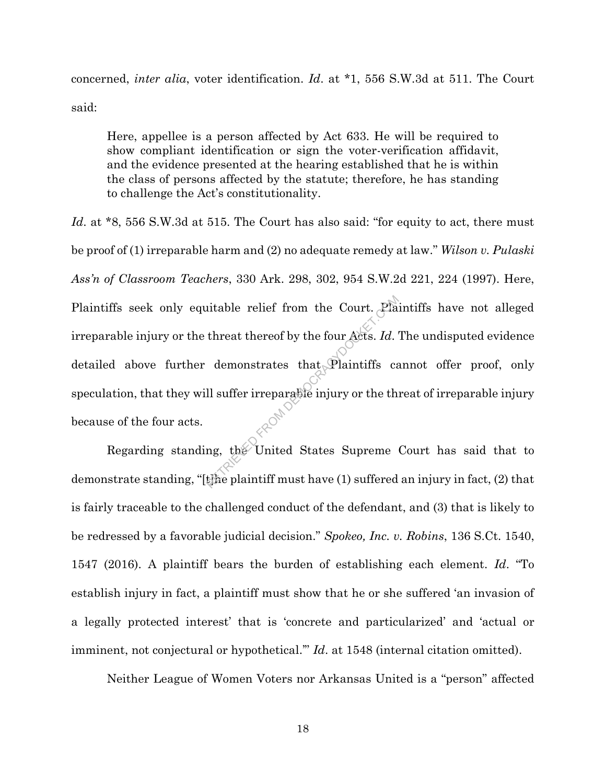concerned, *inter alia*, voter identification. *Id*. at \*1, 556 S.W.3d at 511. The Court said:

Here, appellee is a person affected by Act 633. He will be required to show compliant identification or sign the voter-verification affidavit, and the evidence presented at the hearing established that he is within the class of persons affected by the statute; therefore, he has standing to challenge the Act's constitutionality.

*Id.* at \*8, 556 S.W.3d at 515. The Court has also said: "for equity to act, there must be proof of (1) irreparable harm and (2) no adequate remedy at law." *Wilson v. Pulaski Ass'n of Classroom Teachers*, 330 Ark. 298, 302, 954 S.W.2d 221, 224 (1997). Here, Plaintiffs seek only equitable relief from the Court. Plaintiffs have not alleged irreparable injury or the threat thereof by the four Acts. *Id*. The undisputed evidence detailed above further demonstrates that Plaintiffs cannot offer proof, only speculation, that they will suffer irreparable injury or the threat of irreparable injury because of the four acts. itable relief from the Court. Pla<br>threat thereof by the four Acts. Id.<br>demonstrates that Plaintiffs call<br>suffer irreparable injury or the the<br>mg, the United States Supreme<br>the plaintiff must have (1) suffered

Regarding standing, the United States Supreme Court has said that to demonstrate standing, "[t]he plaintiff must have (1) suffered an injury in fact, (2) that is fairly traceable to the challenged conduct of the defendant, and (3) that is likely to be redressed by a favorable judicial decision." *Spokeo, Inc. v. Robins*, 136 S.Ct. 1540, 1547 (2016). A plaintiff bears the burden of establishing each element. *Id*. "To establish injury in fact, a plaintiff must show that he or she suffered 'an invasion of a legally protected interest' that is 'concrete and particularized' and 'actual or imminent, not conjectural or hypothetical.'" *Id*. at 1548 (internal citation omitted).

Neither League of Women Voters nor Arkansas United is a "person" affected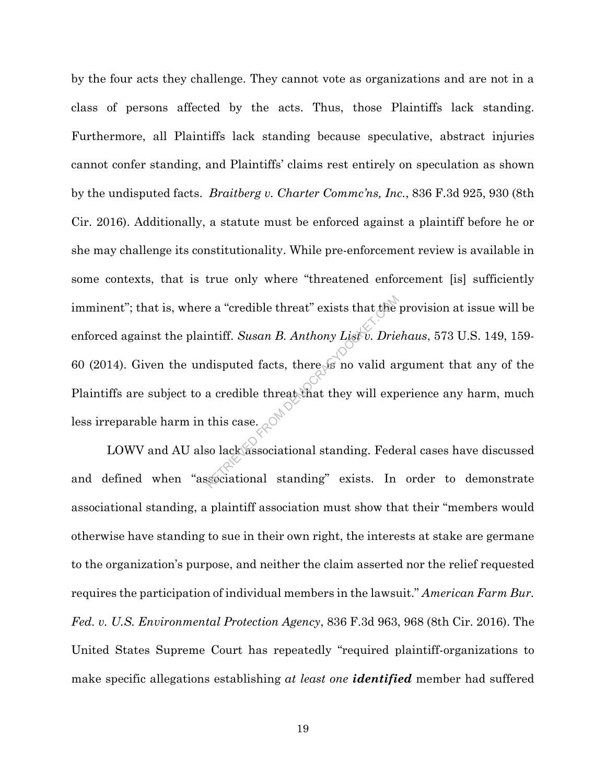by the four acts they challenge. They cannot vote as organizations and are not in a class of persons affected by the acts. Thus, those Plaintiffs lack standing. Furthermore, all Plaintiffs lack standing because speculative, abstract injuries cannot confer standing, and Plaintiffs' claims rest entirely on speculation as shown by the undisputed facts. *Braitberg v. Charter Commc'ns, Inc.*, 836 F.3d 925, 930 (8th Cir. 2016). Additionally, a statute must be enforced against a plaintiff before he or she may challenge its constitutionality. While pre-enforcement review is available in some contexts, that is true only where "threatened enforcement [is] sufficiently imminent"; that is, where a "credible threat" exists that the provision at issue will be enforced against the plaintiff. *Susan B. Anthony List v. Driehaus*, 573 U.S. 149, 159- 60 (2014). Given the undisputed facts, there is no valid argument that any of the Plaintiffs are subject to a credible threat that they will experience any harm, much less irreparable harm in this case. e a "credible threat" exists that the<br>ntiff. Susan B. Anthony List v. Drie<br>disputed facts, there is no valid an<br>a credible threat that they will exp<br>this case.<br>so lack associational standing. Fede<br>ssociational standing" e

LOWV and AU also lack associational standing. Federal cases have discussed and defined when "associational standing" exists. In order to demonstrate associational standing, a plaintiff association must show that their "members would otherwise have standing to sue in their own right, the interests at stake are germane to the organization's purpose, and neither the claim asserted nor the relief requested requires the participation of individual members in the lawsuit." *American Farm Bur. Fed. v. U.S. Environmental Protection Agency*, 836 F.3d 963, 968 (8th Cir. 2016). The United States Supreme Court has repeatedly "required plaintiff-organizations to make specific allegations establishing *at least one identified* member had suffered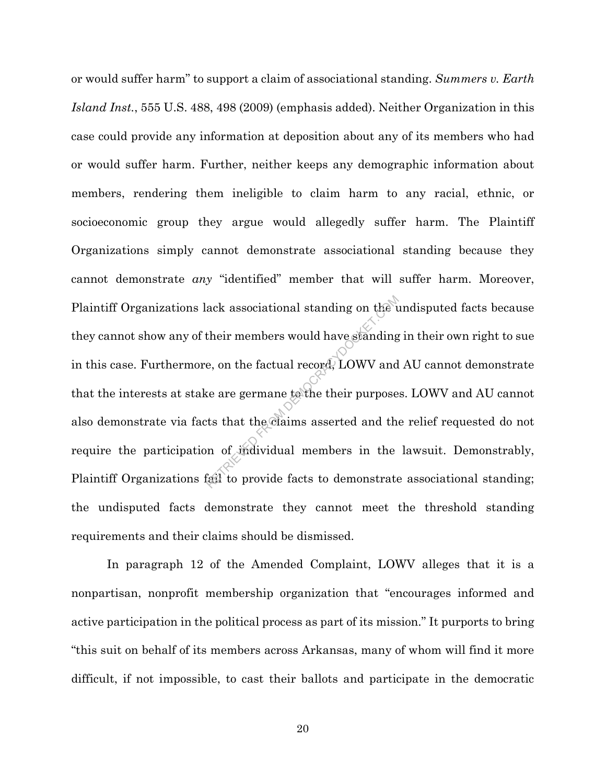or would suffer harm" to support a claim of associational standing. *Summers v. Earth Island Inst.*, 555 U.S. 488, 498 (2009) (emphasis added). Neither Organization in this case could provide any information at deposition about any of its members who had or would suffer harm. Further, neither keeps any demographic information about members, rendering them ineligible to claim harm to any racial, ethnic, or socioeconomic group they argue would allegedly suffer harm. The Plaintiff Organizations simply cannot demonstrate associational standing because they cannot demonstrate *any* "identified" member that will suffer harm. Moreover, Plaintiff Organizations lack associational standing on the undisputed facts because they cannot show any of their members would have standing in their own right to sue in this case. Furthermore, on the factual record, LOWV and AU cannot demonstrate that the interests at stake are germane to the their purposes. LOWV and AU cannot also demonstrate via facts that the claims asserted and the relief requested do not require the participation of individual members in the lawsuit. Demonstrably, Plaintiff Organizations fail to provide facts to demonstrate associational standing; the undisputed facts demonstrate they cannot meet the threshold standing requirements and their claims should be dismissed. ack associational standing on the unit<br>their members would have standing<br>e, on the factual record, LOWV and<br>see are germane to the their purpose<br>ts that the claims asserted and the<br>in of individual members in the<br>fail to p

In paragraph 12 of the Amended Complaint, LOWV alleges that it is a nonpartisan, nonprofit membership organization that "encourages informed and active participation in the political process as part of its mission." It purports to bring "this suit on behalf of its members across Arkansas, many of whom will find it more difficult, if not impossible, to cast their ballots and participate in the democratic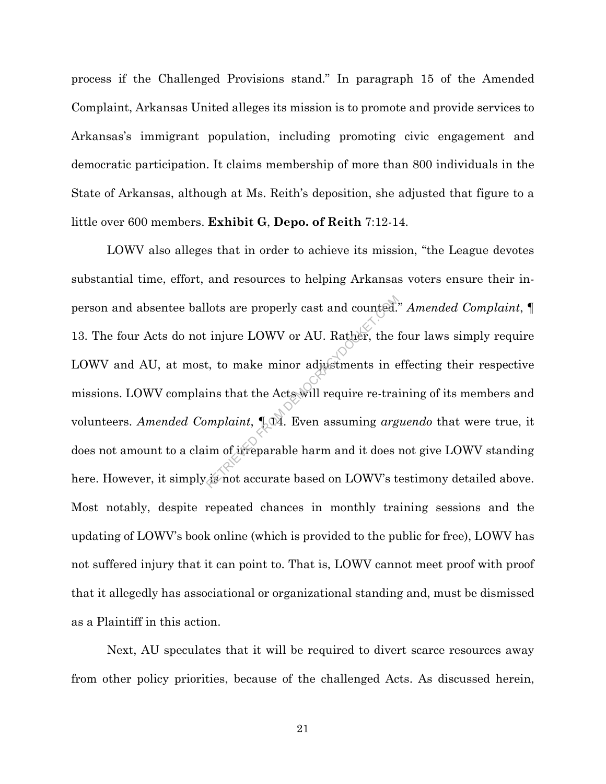process if the Challenged Provisions stand." In paragraph 15 of the Amended Complaint, Arkansas United alleges its mission is to promote and provide services to Arkansas's immigrant population, including promoting civic engagement and democratic participation. It claims membership of more than 800 individuals in the State of Arkansas, although at Ms. Reith's deposition, she adjusted that figure to a little over 600 members. **Exhibit G**, **Depo. of Reith** 7:12-14.

LOWV also alleges that in order to achieve its mission, "the League devotes substantial time, effort, and resources to helping Arkansas voters ensure their inperson and absentee ballots are properly cast and counted." *Amended Complaint*, ¶ 13. The four Acts do not injure LOWV or AU. Rather, the four laws simply require LOWV and AU, at most, to make minor adjustments in effecting their respective missions. LOWV complains that the Acts will require re-training of its members and volunteers. *Amended Complaint*,  $\mathbb{R}^d$ . Even assuming *arguendo* that were true, it does not amount to a claim of irreparable harm and it does not give LOWV standing here. However, it simply is not accurate based on LOWV's testimony detailed above. Most notably, despite repeated chances in monthly training sessions and the updating of LOWV's book online (which is provided to the public for free), LOWV has not suffered injury that it can point to. That is, LOWV cannot meet proof with proof that it allegedly has associational or organizational standing and, must be dismissed as a Plaintiff in this action. lots are properly cast and counted.<br>
injure LOWV or AU. Rather, the intervals in the minor adjustments in e<br>
ins that the Acts will require re-train<br>
ins that the Acts will require re-train<br>
implaint,  $\P_2\mathfrak{A}$ . Even as

Next, AU speculates that it will be required to divert scarce resources away from other policy priorities, because of the challenged Acts. As discussed herein,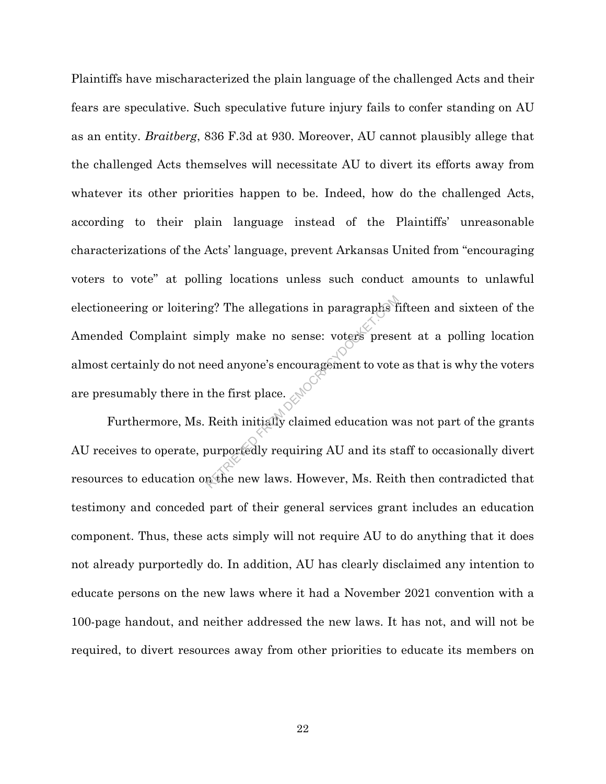Plaintiffs have mischaracterized the plain language of the challenged Acts and their fears are speculative. Such speculative future injury fails to confer standing on AU as an entity. *Braitberg*, 836 F.3d at 930. Moreover, AU cannot plausibly allege that the challenged Acts themselves will necessitate AU to divert its efforts away from whatever its other priorities happen to be. Indeed, how do the challenged Acts, according to their plain language instead of the Plaintiffs' unreasonable characterizations of the Acts' language, prevent Arkansas United from "encouraging voters to vote" at polling locations unless such conduct amounts to unlawful electioneering or loitering? The allegations in paragraphs fifteen and sixteen of the Amended Complaint simply make no sense: voters present at a polling location almost certainly do not need anyone's encouragement to vote as that is why the voters are presumably there in the first place. ig? The allegations in paragraphs f<br>mply make no sense: voters prese<br>eed anyone's encouragement to vote<br>the first place.<br>Reith initially claimed education w<br>purportedly requiring AU and its st<br>m the new laws. However, Ms.

Furthermore, Ms. Reith initially claimed education was not part of the grants AU receives to operate, purportedly requiring AU and its staff to occasionally divert resources to education on the new laws. However, Ms. Reith then contradicted that testimony and conceded part of their general services grant includes an education component. Thus, these acts simply will not require AU to do anything that it does not already purportedly do. In addition, AU has clearly disclaimed any intention to educate persons on the new laws where it had a November 2021 convention with a 100-page handout, and neither addressed the new laws. It has not, and will not be required, to divert resources away from other priorities to educate its members on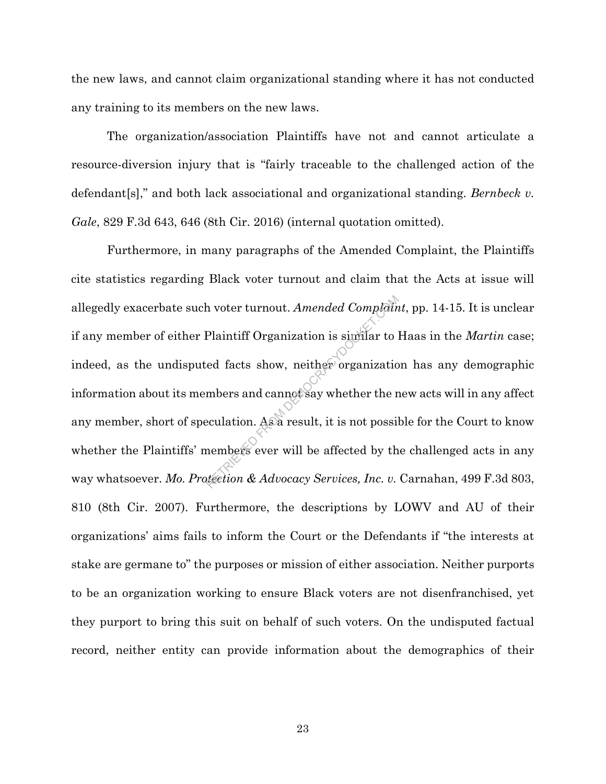the new laws, and cannot claim organizational standing where it has not conducted any training to its members on the new laws.

The organization/association Plaintiffs have not and cannot articulate a resource-diversion injury that is "fairly traceable to the challenged action of the defendant[s]," and both lack associational and organizational standing. *Bernbeck v. Gale*, 829 F.3d 643, 646 (8th Cir. 2016) (internal quotation omitted).

Furthermore, in many paragraphs of the Amended Complaint, the Plaintiffs cite statistics regarding Black voter turnout and claim that the Acts at issue will allegedly exacerbate such voter turnout. *Amended Complaint*, pp. 14-15. It is unclear if any member of either Plaintiff Organization is similar to Haas in the *Martin* case; indeed, as the undisputed facts show, neither organization has any demographic information about its members and cannot say whether the new acts will in any affect any member, short of speculation. As a result, it is not possible for the Court to know whether the Plaintiffs' members ever will be affected by the challenged acts in any way whatsoever. Mo. Protection & Advocacy Services, Inc. v. Carnahan, 499 F.3d 803, 810 (8th Cir. 2007). Furthermore, the descriptions by LOWV and AU of their organizations' aims fails to inform the Court or the Defendants if "the interests at stake are germane to" the purposes or mission of either association. Neither purports to be an organization working to ensure Black voters are not disenfranchised, yet they purport to bring this suit on behalf of such voters. On the undisputed factual record, neither entity can provide information about the demographics of their A voter turnout. Amended Complain<br>
Plaintiff Organization is similar to intervalsed facts show, neither organization<br>
mbers and cannot say whether the reculation. As a result, it is not possil<br>
members ever will be affecte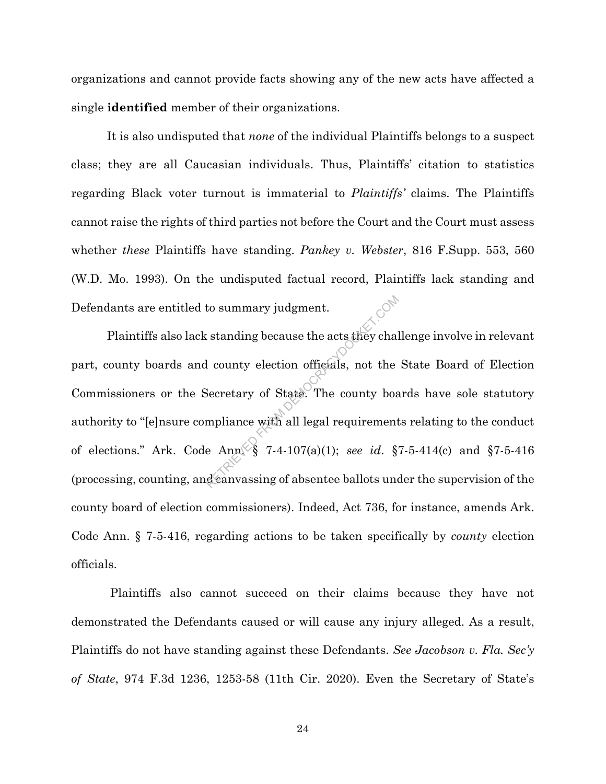organizations and cannot provide facts showing any of the new acts have affected a single **identified** member of their organizations.

It is also undisputed that *none* of the individual Plaintiffs belongs to a suspect class; they are all Caucasian individuals. Thus, Plaintiffs' citation to statistics regarding Black voter turnout is immaterial to *Plaintiffs'* claims. The Plaintiffs cannot raise the rights of third parties not before the Court and the Court must assess whether *these* Plaintiffs have standing. *Pankey v. Webster*, 816 F.Supp. 553, 560 (W.D. Mo. 1993). On the undisputed factual record, Plaintiffs lack standing and Defendants are entitled to summary judgment.

Plaintiffs also lack standing because the acts they challenge involve in relevant part, county boards and county election officials, not the State Board of Election Commissioners or the Secretary of State. The county boards have sole statutory authority to "[e]nsure compliance with all legal requirements relating to the conduct of elections." Ark. Code Ann. § 7-4-107(a)(1); *see id*. §7-5-414(c) and §7-5-416 (processing, counting, and canvassing of absentee ballots under the supervision of the county board of election commissioners). Indeed, Act 736, for instance, amends Ark. Code Ann. § 7-5-416, regarding actions to be taken specifically by *county* election officials. to summary judgment.<br>
Extending because the acts they chalcustanding because the acts they chalcus in the Secretary of State. The county boampliance with all legal requirement<br>
e Ann § 7-4-107(a)(1); *see id.* § deanvassi

Plaintiffs also cannot succeed on their claims because they have not demonstrated the Defendants caused or will cause any injury alleged. As a result, Plaintiffs do not have standing against these Defendants. *See Jacobson v. Fla. Sec'y of State*, 974 F.3d 1236, 1253-58 (11th Cir. 2020). Even the Secretary of State's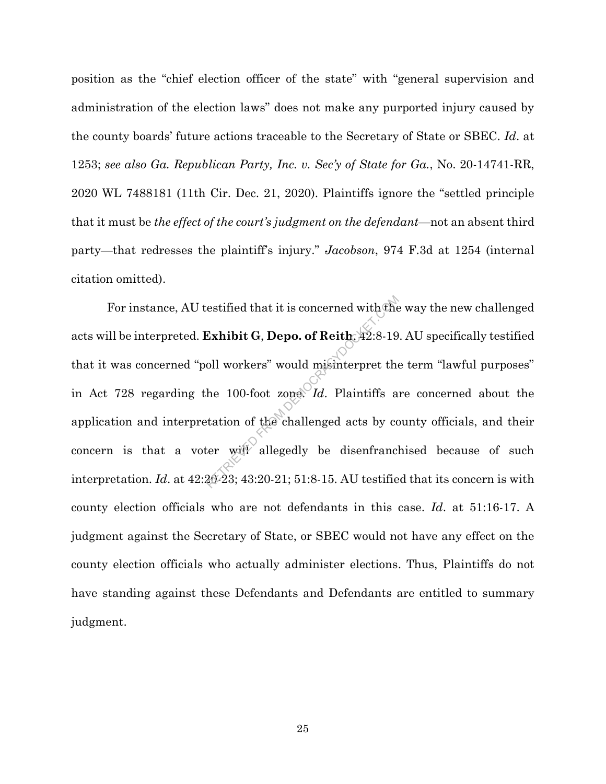position as the "chief election officer of the state" with "general supervision and administration of the election laws" does not make any purported injury caused by the county boards' future actions traceable to the Secretary of State or SBEC. *Id*. at 1253; *see also Ga. Republican Party, Inc. v. Sec'y of State for Ga.*, No. 20-14741-RR, 2020 WL 7488181 (11th Cir. Dec. 21, 2020). Plaintiffs ignore the "settled principle that it must be *the effect of the court's judgment on the defendant*—not an absent third party—that redresses the plaintiff's injury." *Jacobson*, 974 F.3d at 1254 (internal citation omitted).

For instance, AU testified that it is concerned with the way the new challenged acts will be interpreted. **Exhibit G**, **Depo. of Reith**, 42:8-19. AU specifically testified that it was concerned "poll workers" would misinterpret the term "lawful purposes" in Act 728 regarding the 100-foot zone. *Id*. Plaintiffs are concerned about the application and interpretation of the challenged acts by county officials, and their concern is that a voter will allegedly be disenfranchised because of such interpretation. *Id*. at 42:20-23; 43:20-21; 51:8-15. AU testified that its concern is with county election officials who are not defendants in this case. *Id*. at 51:16-17. A judgment against the Secretary of State, or SBEC would not have any effect on the county election officials who actually administer elections. Thus, Plaintiffs do not have standing against these Defendants and Defendants are entitled to summary judgment. estified that it is concerned with the<br>Exhibit G, Depo. of Reith,  $42.8-19$ <br>oll workers" would misinterpret the<br>he 100-foot zone. Id. Plaintiffs a<br>tation of the challenged acts by co<br>ter will allegedly be disenfrance.<br>20-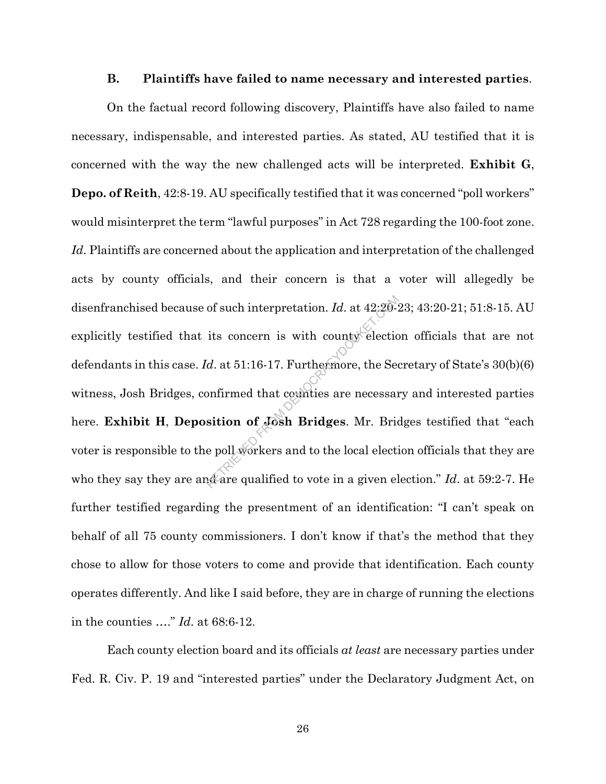#### **B. Plaintiffs have failed to name necessary and interested parties**.

On the factual record following discovery, Plaintiffs have also failed to name necessary, indispensable, and interested parties. As stated, AU testified that it is concerned with the way the new challenged acts will be interpreted. **Exhibit G**, **Depo. of Reith**, 42:8-19. AU specifically testified that it was concerned "poll workers" would misinterpret the term "lawful purposes" in Act 728 regarding the 100-foot zone. *Id*. Plaintiffs are concerned about the application and interpretation of the challenged acts by county officials, and their concern is that a voter will allegedly be disenfranchised because of such interpretation. *Id*. at 42:20-23; 43:20-21; 51:8-15. AU explicitly testified that its concern is with county election officials that are not defendants in this case. *Id*. at 51:16-17. Furthermore, the Secretary of State's 30(b)(6) witness, Josh Bridges, confirmed that counties are necessary and interested parties here. **Exhibit H**, **Deposition of Josh Bridges**. Mr. Bridges testified that "each voter is responsible to the poll workers and to the local election officials that they are who they say they are and are qualified to vote in a given election." *Id*. at 59:2-7. He further testified regarding the presentment of an identification: "I can't speak on behalf of all 75 county commissioners. I don't know if that's the method that they chose to allow for those voters to come and provide that identification. Each county operates differently. And like I said before, they are in charge of running the elections in the counties …." *Id*. at 68:6-12. of such interpretation.  $Id$ . at  $42:20$ <sup>2</sup><br>its concern is with county electic<br> $d$ . at  $51:16-17$ . Furthermore, the Seconfirmed that counties are necessar<br>sition of Josh Bridges. Mr. Bride<br>poll workers and to the local ele

Each county election board and its officials *at least* are necessary parties under Fed. R. Civ. P. 19 and "interested parties" under the Declaratory Judgment Act, on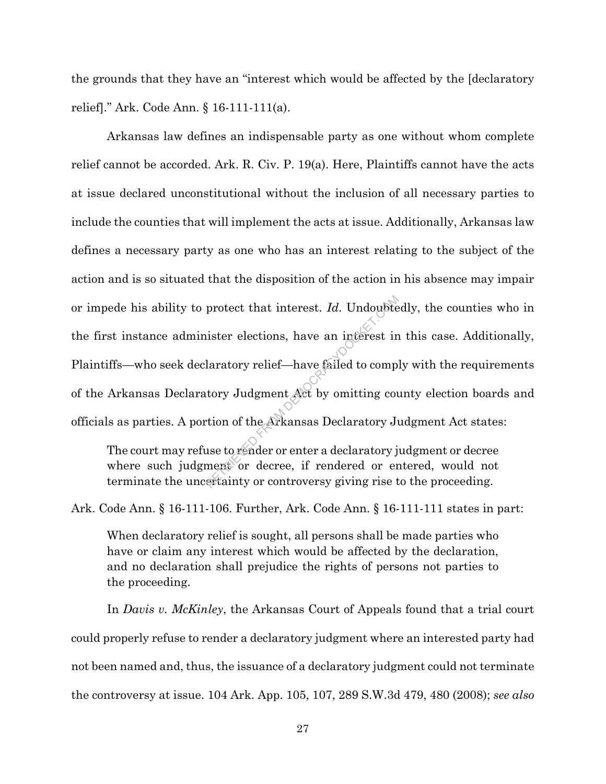the grounds that they have an "interest which would be affected by the [declaratory relief]." Ark. Code Ann. § 16-111-111(a).

Arkansas law defines an indispensable party as one without whom complete relief cannot be accorded. Ark. R. Civ. P. 19(a). Here, Plaintiffs cannot have the acts at issue declared unconstitutional without the inclusion of all necessary parties to include the counties that will implement the acts at issue. Additionally, Arkansas law defines a necessary party as one who has an interest relating to the subject of the action and is so situated that the disposition of the action in his absence may impair or impede his ability to protect that interest. *Id*. Undoubtedly, the counties who in the first instance administer elections, have an interest in this case. Additionally, Plaintiffs—who seek declaratory relief—have failed to comply with the requirements of the Arkansas Declaratory Judgment Act by omitting county election boards and officials as parties. A portion of the Arkansas Declaratory Judgment Act states: protect that interest. *Id*. Undoubte<br>ister elections, have an interest in<br>laratory relief—have failed to compi<br>tory Judgment Act by omitting courtion of the Arkansas Declaratory Juse<br>to render or enter a declaratory just

The court may refuse to render or enter a declaratory judgment or decree where such judgment or decree, if rendered or entered, would not terminate the uncertainty or controversy giving rise to the proceeding.

Ark. Code Ann. § 16-111-106. Further, Ark. Code Ann. § 16-111-111 states in part:

When declaratory relief is sought, all persons shall be made parties who have or claim any interest which would be affected by the declaration, and no declaration shall prejudice the rights of persons not parties to the proceeding.

In *Davis v. McKinley*, the Arkansas Court of Appeals found that a trial court could properly refuse to render a declaratory judgment where an interested party had not been named and, thus, the issuance of a declaratory judgment could not terminate the controversy at issue. 104 Ark. App. 105, 107, 289 S.W.3d 479, 480 (2008); *see also*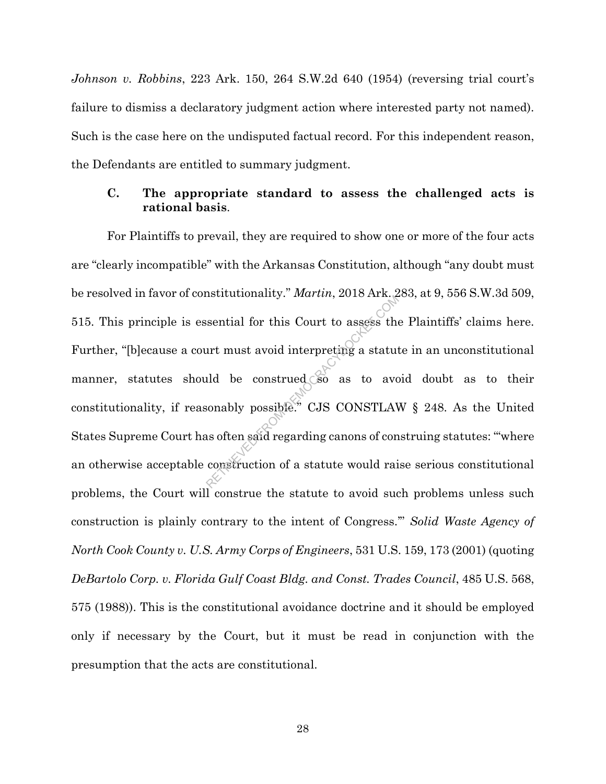*Johnson v. Robbins*, 223 Ark. 150, 264 S.W.2d 640 (1954) (reversing trial court's failure to dismiss a declaratory judgment action where interested party not named). Such is the case here on the undisputed factual record. For this independent reason, the Defendants are entitled to summary judgment.

# **C. The appropriate standard to assess the challenged acts is rational basis**.

For Plaintiffs to prevail, they are required to show one or more of the four acts are "clearly incompatible" with the Arkansas Constitution, although "any doubt must be resolved in favor of constitutionality." *Martin*, 2018 Ark. 283, at 9, 556 S.W.3d 509, 515. This principle is essential for this Court to assess the Plaintiffs' claims here. Further, "[b]ecause a court must avoid interpreting a statute in an unconstitutional manner, statutes should be construed so as to avoid doubt as to their constitutionality, if reasonably possible." CJS CONSTLAW § 248. As the United States Supreme Court has often said regarding canons of construing statutes: "'where an otherwise acceptable construction of a statute would raise serious constitutional problems, the Court will construe the statute to avoid such problems unless such construction is plainly contrary to the intent of Congress.'" *Solid Waste Agency of North Cook County v. U.S. Army Corps of Engineers*, 531 U.S. 159, 173 (2001) (quoting *DeBartolo Corp. v. Florida Gulf Coast Bldg. and Const. Trades Council*, 485 U.S. 568, 575 (1988)). This is the constitutional avoidance doctrine and it should be employed only if necessary by the Court, but it must be read in conjunction with the presumption that the acts are constitutional. Seential for this Court to assess the<br>urt must avoid interpreting a statut<br>ald be construed so as to aver<br>sonably possible." CJS CONSTLAN<br>as often said regarding canons of concentruction of a statute would rai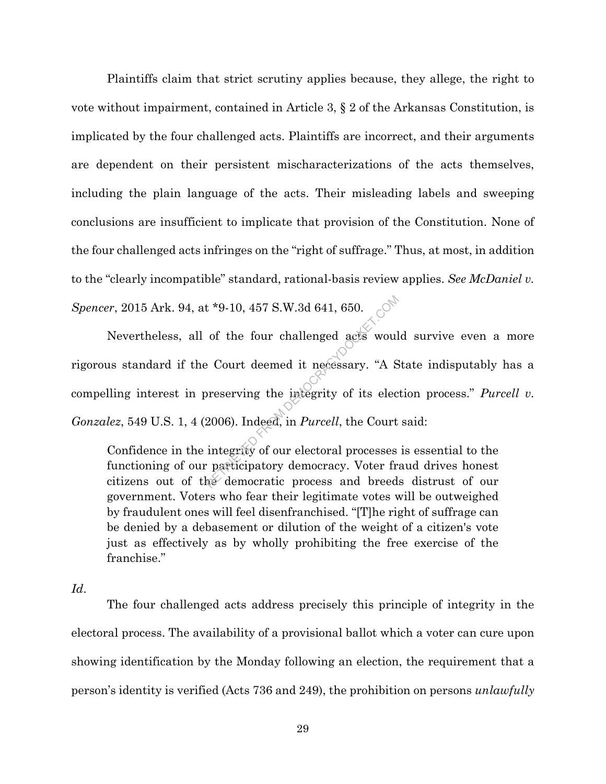Plaintiffs claim that strict scrutiny applies because, they allege, the right to vote without impairment, contained in Article 3, § 2 of the Arkansas Constitution, is implicated by the four challenged acts. Plaintiffs are incorrect, and their arguments are dependent on their persistent mischaracterizations of the acts themselves, including the plain language of the acts. Their misleading labels and sweeping conclusions are insufficient to implicate that provision of the Constitution. None of the four challenged acts infringes on the "right of suffrage." Thus, at most, in addition to the "clearly incompatible" standard, rational-basis review applies. *See McDaniel v. Spencer*, 2015 Ark. 94, at \*9-10, 457 S.W.3d 641, 650.

Nevertheless, all of the four challenged acts would survive even a more rigorous standard if the Court deemed it necessary. "A State indisputably has a compelling interest in preserving the integrity of its election process." *Purcell v. Gonzalez*, 549 U.S. 1, 4 (2006). Indeed, in *Purcell*, the Court said: t \*9-10, 457 S.W.3d 641, 650.<br>
of the four challenged acts would<br>
Performed it necessary. "A Superserving the integrity of its elections.<br>
Representing the integrity of its elections.<br>
The Court integrity of our electoral

Confidence in the integrity of our electoral processes is essential to the functioning of our participatory democracy. Voter fraud drives honest citizens out of the democratic process and breeds distrust of our government. Voters who fear their legitimate votes will be outweighed by fraudulent ones will feel disenfranchised. "[T]he right of suffrage can be denied by a debasement or dilution of the weight of a citizen's vote just as effectively as by wholly prohibiting the free exercise of the franchise."

*Id*.

The four challenged acts address precisely this principle of integrity in the electoral process. The availability of a provisional ballot which a voter can cure upon showing identification by the Monday following an election, the requirement that a person's identity is verified (Acts 736 and 249), the prohibition on persons *unlawfully*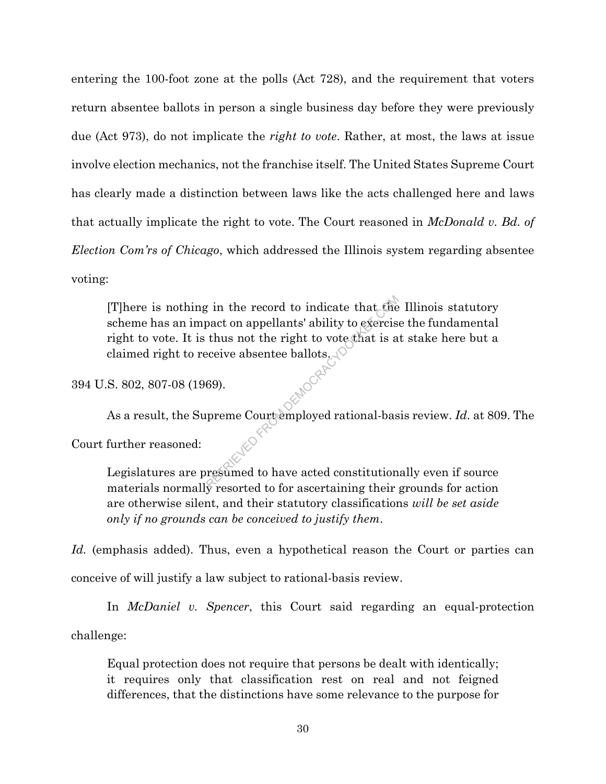entering the 100-foot zone at the polls (Act 728), and the requirement that voters return absentee ballots in person a single business day before they were previously due (Act 973), do not implicate the *right to vote*. Rather, at most, the laws at issue involve election mechanics, not the franchise itself. The United States Supreme Court has clearly made a distinction between laws like the acts challenged here and laws that actually implicate the right to vote. The Court reasoned in *McDonald v. Bd. of Election Com'rs of Chicago*, which addressed the Illinois system regarding absentee voting:

[T]here is nothing in the record to indicate that the Illinois statutory scheme has an impact on appellants' ability to exercise the fundamental right to vote. It is thus not the right to vote that is at stake here but a claimed right to receive absentee ballots. From the record to indicate that the pact on appellants' ability to exercise<br>thus not the right to vote that is a<br>eceive absentee ballots.<br>(69).<br>preme Courtemployed rational-based.<br>From their research to have acted constit

394 U.S. 802, 807-08 (1969).

As a result, the Supreme Court employed rational-basis review. *Id*. at 809. The

Court further reasoned:

Legislatures are presumed to have acted constitutionally even if source materials normally resorted to for ascertaining their grounds for action are otherwise silent, and their statutory classifications *will be set aside only if no grounds can be conceived to justify them*.

*Id.* (emphasis added). Thus, even a hypothetical reason the Court or parties can conceive of will justify a law subject to rational-basis review.

In *McDaniel v. Spencer*, this Court said regarding an equal-protection

challenge:

Equal protection does not require that persons be dealt with identically; it requires only that classification rest on real and not feigned differences, that the distinctions have some relevance to the purpose for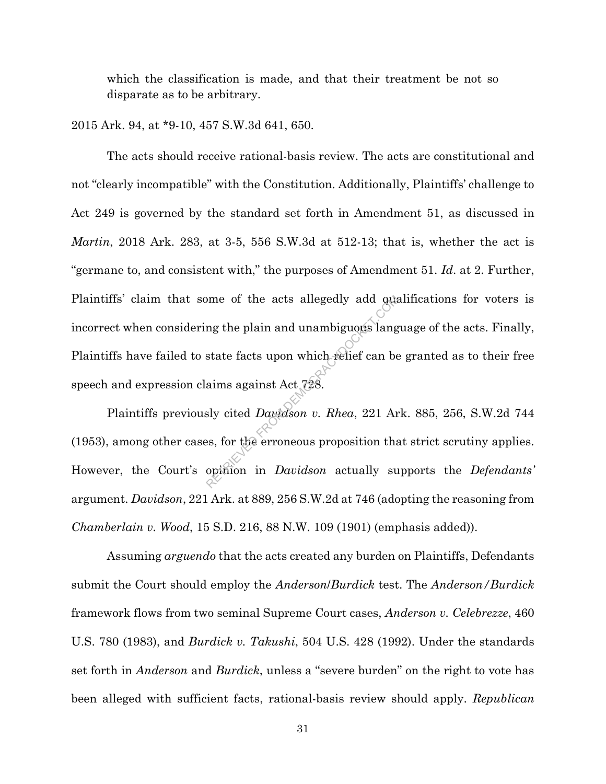which the classification is made, and that their treatment be not so disparate as to be arbitrary.

## 2015 Ark. 94, at \*9-10, 457 S.W.3d 641, 650.

The acts should receive rational-basis review. The acts are constitutional and not "clearly incompatible" with the Constitution. Additionally, Plaintiffs' challenge to Act 249 is governed by the standard set forth in Amendment 51, as discussed in *Martin*, 2018 Ark. 283, at 3-5, 556 S.W.3d at 512-13; that is, whether the act is "germane to, and consistent with," the purposes of Amendment 51. *Id*. at 2. Further, Plaintiffs' claim that some of the acts allegedly add qualifications for voters is incorrect when considering the plain and unambiguous language of the acts. Finally, Plaintiffs have failed to state facts upon which relief can be granted as to their free speech and expression claims against Act 728. From of the acts allegedly add quan any state facts upon which relief can be aims against Act  $728$ .<br>Six cited Davidson v. Rhea, 221 Area, for the erroneous proposition that opinion in Davidson actually su

Plaintiffs previously cited *Davidson v. Rhea*, 221 Ark. 885, 256, S.W.2d 744 (1953), among other cases, for the erroneous proposition that strict scrutiny applies. However, the Court's opinion in *Davidson* actually supports the *Defendants'* argument. *Davidson*, 221 Ark. at 889, 256 S.W.2d at 746 (adopting the reasoning from *Chamberlain v. Wood*, 15 S.D. 216, 88 N.W. 109 (1901) (emphasis added)).

Assuming *arguendo* that the acts created any burden on Plaintiffs, Defendants submit the Court should employ the *Anderson*/*Burdick* test. The *Anderson/Burdick* framework flows from two seminal Supreme Court cases, *Anderson v. Celebrezze*, 460 U.S. 780 (1983), and *Burdick v. Takushi*, 504 U.S. 428 (1992). Under the standards set forth in *Anderson* and *Burdick*, unless a "severe burden" on the right to vote has been alleged with sufficient facts, rational-basis review should apply. *Republican*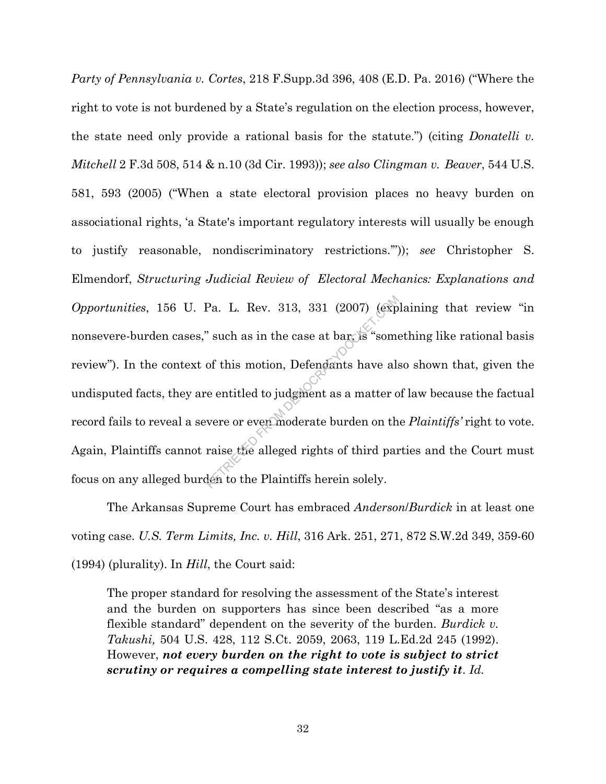*Party of Pennsylvania v. Cortes*, 218 F.Supp.3d 396, 408 (E.D. Pa. 2016) ("Where the right to vote is not burdened by a State's regulation on the election process, however, the state need only provide a rational basis for the statute.") (citing *Donatelli v. Mitchell* 2 F.3d 508, 514 & n.10 (3d Cir. 1993)); *see also Clingman v. Beaver*, 544 U.S. 581, 593 (2005) ("When a state electoral provision places no heavy burden on associational rights, 'a State's important regulatory interests will usually be enough to justify reasonable, nondiscriminatory restrictions.'")); *see* Christopher S. Elmendorf, *Structuring Judicial Review of Electoral Mechanics: Explanations and Opportunities*, 156 U. Pa. L. Rev. 313, 331 (2007) (explaining that review "in nonsevere-burden cases," such as in the case at bar, is "something like rational basis review"). In the context of this motion, Defendants have also shown that, given the undisputed facts, they are entitled to judgment as a matter of law because the factual record fails to reveal a severe or even moderate burden on the *Plaintiffs'* right to vote. Again, Plaintiffs cannot raise the alleged rights of third parties and the Court must focus on any alleged burden to the Plaintiffs herein solely. Pa. L. Rev. 313, 331 (2007) (exp<sup>3</sup><br>
Such as in the case at bar is "some<br>
of this motion, Defendants have als<br>
e entitled to judgment as a matter of<br>
vere or even moderate burden on th<br>
raise the alleged rights of third pa

The Arkansas Supreme Court has embraced *Anderson*/*Burdick* in at least one voting case. *U.S. Term Limits, Inc. v. Hill*, 316 Ark. 251, 271, 872 S.W.2d 349, 359-60 (1994) (plurality). In *Hill*, the Court said:

The proper standard for resolving the assessment of the State's interest and the burden on supporters has since been described "as a more flexible standard" dependent on the severity of the burden. *Burdick v. Takushi,* 504 U.S. 428, 112 S.Ct. 2059, 2063, 119 L.Ed.2d 245 (1992). However, *not every burden on the right to vote is subject to strict scrutiny or requires a compelling state interest to justify it*. *Id.*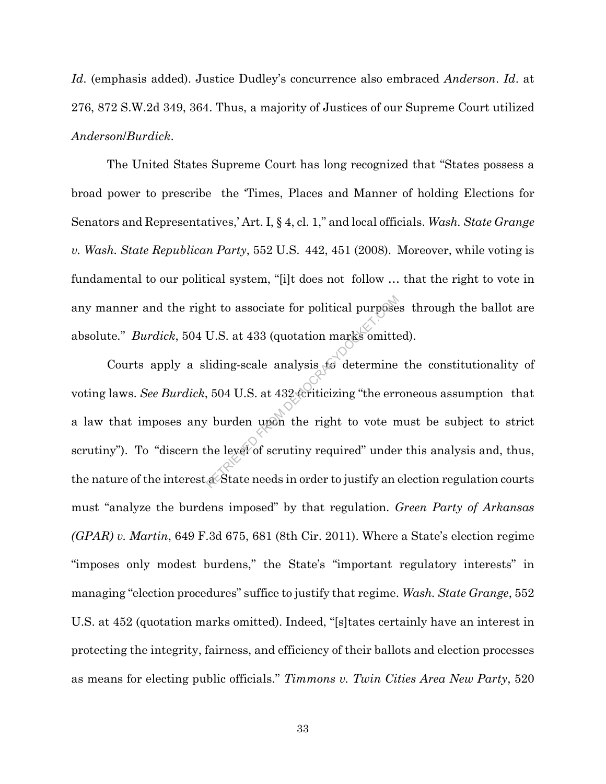*Id*. (emphasis added). Justice Dudley's concurrence also embraced *Anderson*. *Id*. at 276, 872 S.W.2d 349, 364. Thus, a majority of Justices of our Supreme Court utilized *Anderson*/*Burdick*.

The United States Supreme Court has long recognized that "States possess a broad power to prescribe the 'Times, Places and Manner of holding Elections for Senators and Representatives,' Art. I, § 4, cl. 1," and local officials. *Wash. State Grange v. Wash. State Republican Party*, 552 U.S. 442, 451 (2008). Moreover, while voting is fundamental to our political system, "[i]t does not follow … that the right to vote in any manner and the right to associate for political purposes through the ballot are absolute*.*" *Burdick*, 504 U.S. at 433 (quotation marks omitted).

Courts apply a sliding-scale analysis to determine the constitutionality of voting laws. *See Burdick*, 504 U.S. at 432 (criticizing "the erroneous assumption that a law that imposes any burden upon the right to vote must be subject to strict scrutiny"). To "discern the level of scrutiny required" under this analysis and, thus, the nature of the interest a State needs in order to justify an election regulation courts must "analyze the burdens imposed" by that regulation. *Green Party of Arkansas (GPAR) v. Martin*, 649 F.3d 675, 681 (8th Cir. 2011). Where a State's election regime "imposes only modest burdens," the State's "important regulatory interests" in managing "election procedures" suffice to justify that regime. *Wash. State Grange*, 552 U.S. at 452 (quotation marks omitted). Indeed, "[s]tates certainly have an interest in protecting the integrity, fairness, and efficiency of their ballots and election processes as means for electing public officials." *Timmons v. Twin Cities Area New Party*, 520 ht to associate for political purpose<br>U.S. at 433 (quotation marks omitte<br>liding-scale analysis for determine<br>504 U.S. at 432 (criticizing "the err<br>burden upon the right to vote n<br>the level of scrutiny required" under<br>a St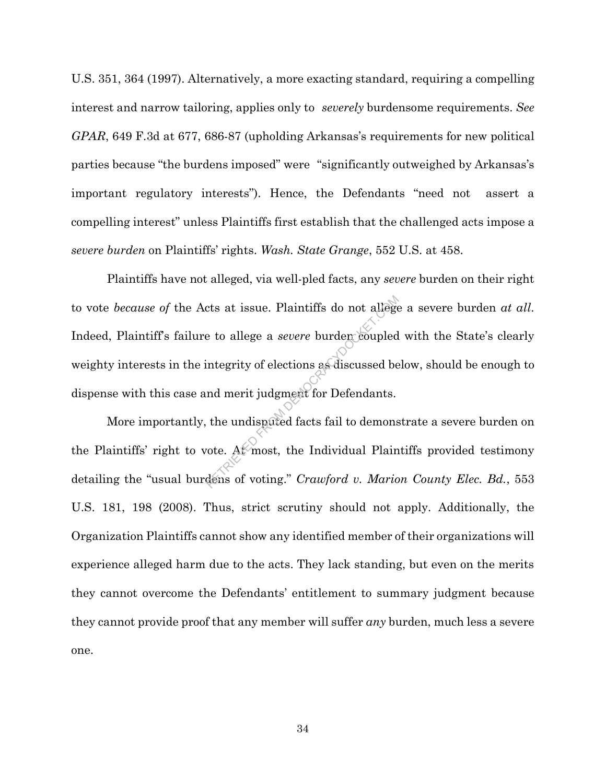U.S. 351, 364 (1997). Alternatively, a more exacting standard, requiring a compelling interest and narrow tailoring, applies only to *severely* burdensome requirements. *See GPAR*, 649 F.3d at 677, 686-87 (upholding Arkansas's requirements for new political parties because "the burdens imposed" were "significantly outweighed by Arkansas's important regulatory interests"). Hence, the Defendants "need not assert a compelling interest" unless Plaintiffs first establish that the challenged acts impose a *severe burden* on Plaintiffs' rights. *Wash. State Grange*, 552 U.S. at 458.

Plaintiffs have not alleged, via well-pled facts, any *severe* burden on their right to vote *because of* the Acts at issue. Plaintiffs do not allege a severe burden *at all*. Indeed, Plaintiff's failure to allege a *severe* burden coupled with the State's clearly weighty interests in the integrity of elections as discussed below, should be enough to dispense with this case and merit judgment for Defendants. cts at issue. Plaintiffs do not allege<br>e to allege a *severe* burden coupled<br>integrity of elections as discussed be<br>nd merit judgment for Defendants.<br>the undispated facts fail to demons<br>vote. At most, the Individual Plain<br>

More importantly, the undisputed facts fail to demonstrate a severe burden on the Plaintiffs' right to vote. At most, the Individual Plaintiffs provided testimony detailing the "usual burdens of voting." *Crawford v. Marion County Elec. Bd.*, 553 U.S. 181, 198 (2008). Thus, strict scrutiny should not apply. Additionally, the Organization Plaintiffs cannot show any identified member of their organizations will experience alleged harm due to the acts. They lack standing, but even on the merits they cannot overcome the Defendants' entitlement to summary judgment because they cannot provide proof that any member will suffer *any* burden, much less a severe one.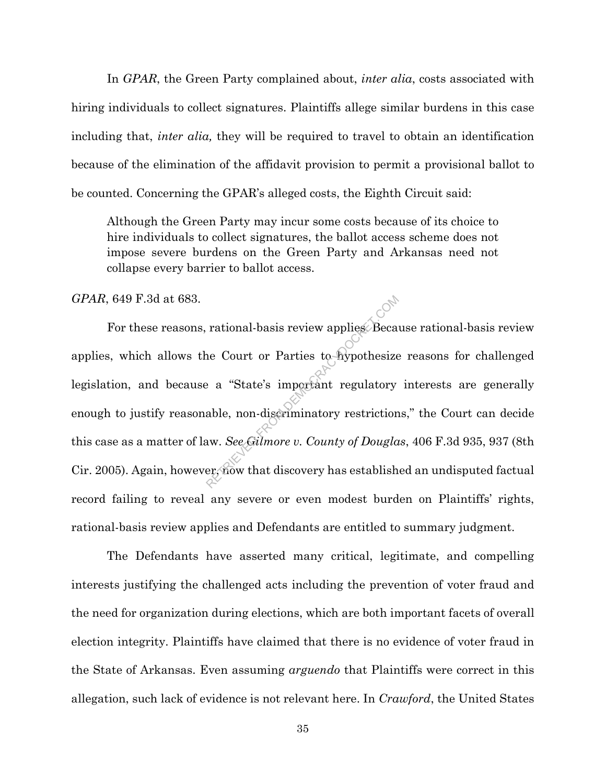In *GPAR*, the Green Party complained about, *inter alia*, costs associated with hiring individuals to collect signatures. Plaintiffs allege similar burdens in this case including that, *inter alia,* they will be required to travel to obtain an identification because of the elimination of the affidavit provision to permit a provisional ballot to be counted. Concerning the GPAR's alleged costs, the Eighth Circuit said:

Although the Green Party may incur some costs because of its choice to hire individuals to collect signatures, the ballot access scheme does not impose severe burdens on the Green Party and Arkansas need not collapse every barrier to ballot access.

*GPAR*, 649 F.3d at 683.

For these reasons, rational-basis review applies. Because rational-basis review applies, which allows the Court or Parties to hypothesize reasons for challenged legislation, and because a "State's important regulatory interests are generally enough to justify reasonable, non-discriminatory restrictions," the Court can decide this case as a matter of law. *See Gilmore v. County of Douglas*, 406 F.3d 935, 937 (8th Cir. 2005). Again, however, now that discovery has established an undisputed factual record failing to reveal any severe or even modest burden on Plaintiffs' rights, rational-basis review applies and Defendants are entitled to summary judgment. rational-basis review applies Beca<br>
ne Court or Parties to hypothesize<br>
e a "State's important regulatory<br>
able, non-discriminatory restriction<br>
aw. See Gilmore v. County of Dougla<br>
er, now that discovery has establish

The Defendants have asserted many critical, legitimate, and compelling interests justifying the challenged acts including the prevention of voter fraud and the need for organization during elections, which are both important facets of overall election integrity. Plaintiffs have claimed that there is no evidence of voter fraud in the State of Arkansas. Even assuming *arguendo* that Plaintiffs were correct in this allegation, such lack of evidence is not relevant here. In *Crawford*, the United States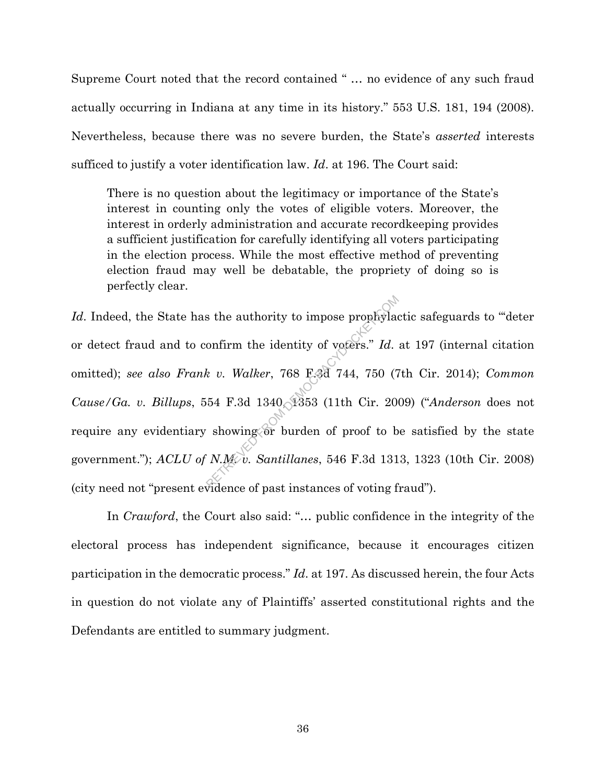Supreme Court noted that the record contained " … no evidence of any such fraud actually occurring in Indiana at any time in its history." 553 U.S. 181, 194 (2008). Nevertheless, because there was no severe burden, the State's *asserted* interests sufficed to justify a voter identification law. *Id*. at 196. The Court said:

There is no question about the legitimacy or importance of the State's interest in counting only the votes of eligible voters. Moreover, the interest in orderly administration and accurate recordkeeping provides a sufficient justification for carefully identifying all voters participating in the election process. While the most effective method of preventing election fraud may well be debatable, the propriety of doing so is perfectly clear.

Id. Indeed, the State has the authority to impose prophylactic safeguards to "deter" or detect fraud and to confirm the identity of voters." *Id*. at 197 (internal citation omitted); *see also Frank v. Walker*, 768 F.3d 744, 750 (7th Cir. 2014); *Common Cause/Ga. v. Billups*, 554 F.3d 1340, 1353 (11th Cir. 2009) ("*Anderson* does not require any evidentiary showing or burden of proof to be satisfied by the state government."); *ACLU of N.M. v. Santillanes*, 546 F.3d 1313, 1323 (10th Cir. 2008) (city need not "present evidence of past instances of voting fraud"). S the authority to impose prophylaof<br>
onfirm the identity of voters." Id.<br>
k v. Walker, 768 F3d 744, 750 (7<br>
54 F.3d 1340, 1353 (11th Cir. 200<br>
showing or burden of proof to b<br>
N.M.v. Santillanes, 546 F.3d 131

In *Crawford*, the Court also said: "... public confidence in the integrity of the electoral process has independent significance, because it encourages citizen participation in the democratic process." *Id*. at 197. As discussed herein, the four Acts in question do not violate any of Plaintiffs' asserted constitutional rights and the Defendants are entitled to summary judgment.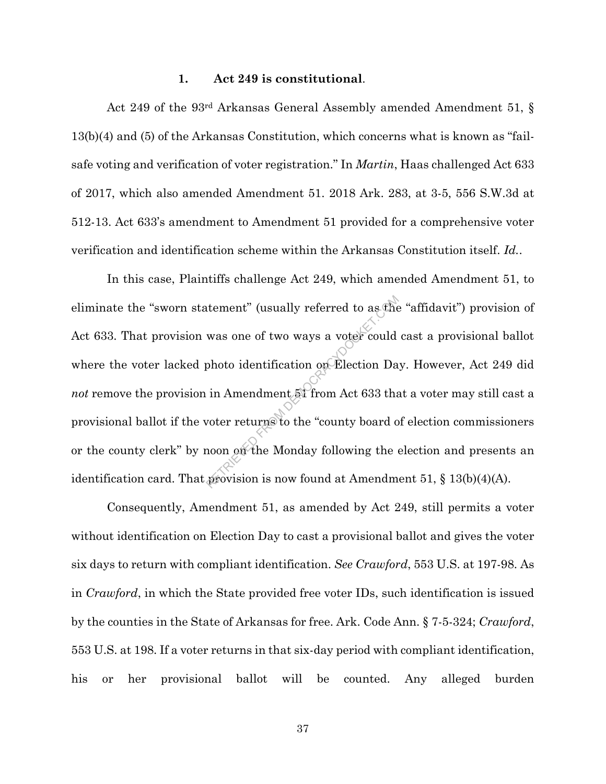## **1. Act 249 is constitutional**.

Act 249 of the 93rd Arkansas General Assembly amended Amendment 51, § 13(b)(4) and (5) of the Arkansas Constitution, which concerns what is known as "failsafe voting and verification of voter registration." In *Martin*, Haas challenged Act 633 of 2017, which also amended Amendment 51. 2018 Ark. 283, at 3-5, 556 S.W.3d at 512-13. Act 633's amendment to Amendment 51 provided for a comprehensive voter verification and identification scheme within the Arkansas Constitution itself. *Id.*.

In this case, Plaintiffs challenge Act 249, which amended Amendment 51, to eliminate the "sworn statement" (usually referred to as the "affidavit") provision of Act 633. That provision was one of two ways a voter could cast a provisional ballot where the voter lacked photo identification on Election Day. However, Act 249 did *not* remove the provision in Amendment 51 from Act 633 that a voter may still cast a provisional ballot if the voter returns to the "county board of election commissioners or the county clerk" by noon on the Monday following the election and presents an identification card. That provision is now found at Amendment 51,  $\S$  13(b)(4)(A). tement" (usually referred to as the<br>was one of two ways a voter could<br>photo identification on Election Da<br>in Amendment 51 from Act 633 tha<br>voter returns to the "county board of<br>noon on the Monday following the

Consequently, Amendment 51, as amended by Act 249, still permits a voter without identification on Election Day to cast a provisional ballot and gives the voter six days to return with compliant identification. *See Crawford*, 553 U.S. at 197-98. As in *Crawford*, in which the State provided free voter IDs, such identification is issued by the counties in the State of Arkansas for free. Ark. Code Ann. § 7-5-324; *Crawford*, 553 U.S. at 198. If a voter returns in that six-day period with compliant identification, his or her provisional ballot will be counted. Any alleged burden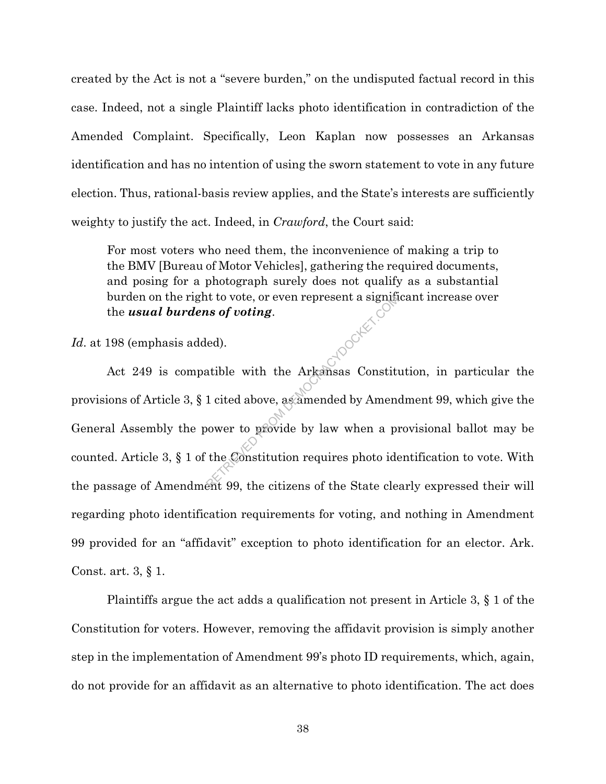created by the Act is not a "severe burden," on the undisputed factual record in this case. Indeed, not a single Plaintiff lacks photo identification in contradiction of the Amended Complaint. Specifically, Leon Kaplan now possesses an Arkansas identification and has no intention of using the sworn statement to vote in any future election. Thus, rational-basis review applies, and the State's interests are sufficiently weighty to justify the act. Indeed, in *Crawford*, the Court said:

For most voters who need them, the inconvenience of making a trip to the BMV [Bureau of Motor Vehicles], gathering the required documents, and posing for a photograph surely does not qualify as a substantial burden on the right to vote, or even represent a significant increase over the *usual burdens of voting*.

*Id*. at 198 (emphasis added).

Act 249 is compatible with the Arkansas Constitution, in particular the provisions of Article 3, § 1 cited above, as amended by Amendment 99, which give the General Assembly the power to provide by law when a provisional ballot may be counted. Article 3, § 1 of the Constitution requires photo identification to vote. With the passage of Amendment 99, the citizens of the State clearly expressed their will regarding photo identification requirements for voting, and nothing in Amendment 99 provided for an "affidavit" exception to photo identification for an elector. Ark. Const. art. 3, § 1. It to vote, or even represent a signified is of voting.<br>
Led).<br>
atible with the Arkansas Constitution<br>
1 cited above, assamended by Amenow<br>
hower to provide by law when a provide by the Constitution requires photo ident.<br>

Plaintiffs argue the act adds a qualification not present in Article 3, § 1 of the Constitution for voters. However, removing the affidavit provision is simply another step in the implementation of Amendment 99's photo ID requirements, which, again, do not provide for an affidavit as an alternative to photo identification. The act does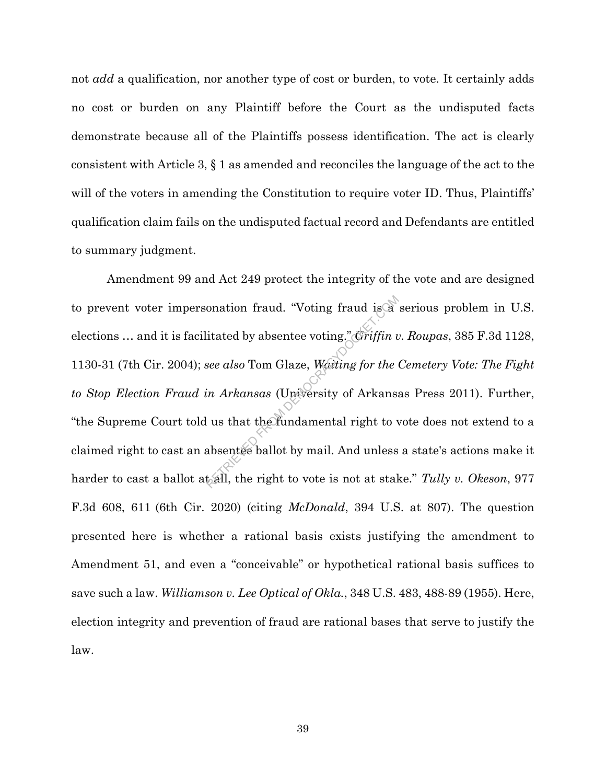not *add* a qualification, nor another type of cost or burden, to vote. It certainly adds no cost or burden on any Plaintiff before the Court as the undisputed facts demonstrate because all of the Plaintiffs possess identification. The act is clearly consistent with Article 3, § 1 as amended and reconciles the language of the act to the will of the voters in amending the Constitution to require voter ID. Thus, Plaintiffs' qualification claim fails on the undisputed factual record and Defendants are entitled to summary judgment.

Amendment 99 and Act 249 protect the integrity of the vote and are designed to prevent voter impersonation fraud. "Voting fraud is a serious problem in U.S. elections … and it is facilitated by absentee voting." *Griffin v. Roupas*, 385 F.3d 1128, 1130-31 (7th Cir. 2004); *see also* Tom Glaze, *Waiting for the Cemetery Vote: The Fight to Stop Election Fraud in Arkansas* (University of Arkansas Press 2011). Further, "the Supreme Court told us that the fundamental right to vote does not extend to a claimed right to cast an absentee ballot by mail. And unless a state's actions make it harder to cast a ballot at all, the right to vote is not at stake." *Tully v. Okeson*, 977 F.3d 608, 611 (6th Cir. 2020) (citing *McDonald*, 394 U.S. at 807). The question presented here is whether a rational basis exists justifying the amendment to Amendment 51, and even a "conceivable" or hypothetical rational basis suffices to save such a law. *Williamson v. Lee Optical of Okla.*, 348 U.S. 483, 488-89 (1955). Here, election integrity and prevention of fraud are rational bases that serve to justify the law. onation fraud. "Voting fraud is a<br>
litated by absentee voting." *Griffin u*<br>
see also Tom Glaze, *Westing for the*<br>
in Arkansas (University of Arkansa<br>
lus that the fundamental right to v<br>
absentee ballot by mail. And unle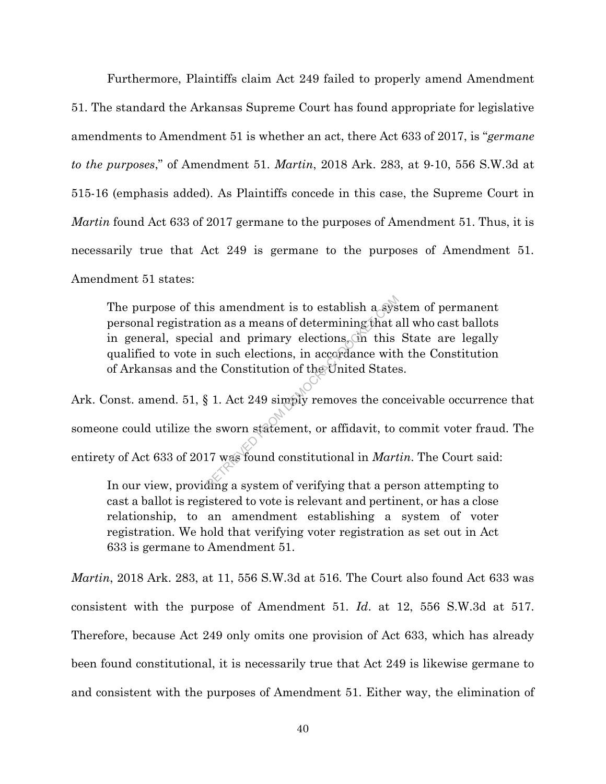Furthermore, Plaintiffs claim Act 249 failed to properly amend Amendment 51. The standard the Arkansas Supreme Court has found appropriate for legislative amendments to Amendment 51 is whether an act, there Act 633 of 2017, is "*germane to the purposes*," of Amendment 51. *Martin*, 2018 Ark. 283, at 9-10, 556 S.W.3d at 515-16 (emphasis added). As Plaintiffs concede in this case, the Supreme Court in *Martin* found Act 633 of 2017 germane to the purposes of Amendment 51. Thus, it is necessarily true that Act 249 is germane to the purposes of Amendment 51. Amendment 51 states:

The purpose of this amendment is to establish a system of permanent personal registration as a means of determining that all who cast ballots in general, special and primary elections, in this State are legally qualified to vote in such elections, in accordance with the Constitution of Arkansas and the Constitution of the United States. is amendment is to establish a system as a means of determining that a<br>al and primary elections, on this<br>n such elections, in accordance with<br>the Constitution of the United States<br> $\frac{1}{2}$ <br>1. Act 249 simply removes the c

Ark. Const. amend. 51, § 1. Act 249 simply removes the conceivable occurrence that someone could utilize the sworn statement, or affidavit, to commit voter fraud. The entirety of Act 633 of 2017 was found constitutional in *Martin*. The Court said:

In our view, providing a system of verifying that a person attempting to cast a ballot is registered to vote is relevant and pertinent, or has a close relationship, to an amendment establishing a system of voter registration. We hold that verifying voter registration as set out in Act 633 is germane to Amendment 51.

*Martin*, 2018 Ark. 283, at 11, 556 S.W.3d at 516. The Court also found Act 633 was consistent with the purpose of Amendment 51. *Id*. at 12, 556 S.W.3d at 517. Therefore, because Act 249 only omits one provision of Act 633, which has already been found constitutional, it is necessarily true that Act 249 is likewise germane to and consistent with the purposes of Amendment 51. Either way, the elimination of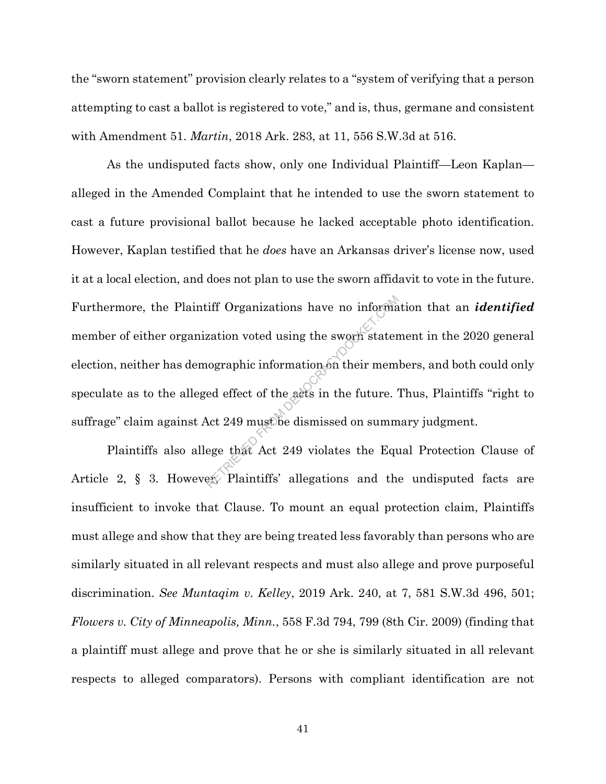the "sworn statement" provision clearly relates to a "system of verifying that a person attempting to cast a ballot is registered to vote," and is, thus, germane and consistent with Amendment 51. *Martin*, 2018 Ark. 283, at 11, 556 S.W.3d at 516.

As the undisputed facts show, only one Individual Plaintiff—Leon Kaplan alleged in the Amended Complaint that he intended to use the sworn statement to cast a future provisional ballot because he lacked acceptable photo identification. However, Kaplan testified that he *does* have an Arkansas driver's license now, used it at a local election, and does not plan to use the sworn affidavit to vote in the future. Furthermore, the Plaintiff Organizations have no information that an *identified* member of either organization voted using the sworn statement in the 2020 general election, neither has demographic information on their members, and both could only speculate as to the alleged effect of the acts in the future. Thus, Plaintiffs "right to suffrage" claim against Act 249 must be dismissed on summary judgment. Exation voted using the sworn stater<br>represents a sworn stater<br>in their members of the set of the sets in the future.<br>Act 249 must be dismissed on summ<br>ege that Act 249 violates the Equester Plaintiffs' allegations and the

Plaintiffs also allege that Act 249 violates the Equal Protection Clause of Article 2, § 3. However, Plaintiffs' allegations and the undisputed facts are insufficient to invoke that Clause. To mount an equal protection claim, Plaintiffs must allege and show that they are being treated less favorably than persons who are similarly situated in all relevant respects and must also allege and prove purposeful discrimination. *See Muntaqim v. Kelley*, 2019 Ark. 240, at 7, 581 S.W.3d 496, 501; *Flowers v. City of Minneapolis, Minn.*, 558 F.3d 794, 799 (8th Cir. 2009) (finding that a plaintiff must allege and prove that he or she is similarly situated in all relevant respects to alleged comparators). Persons with compliant identification are not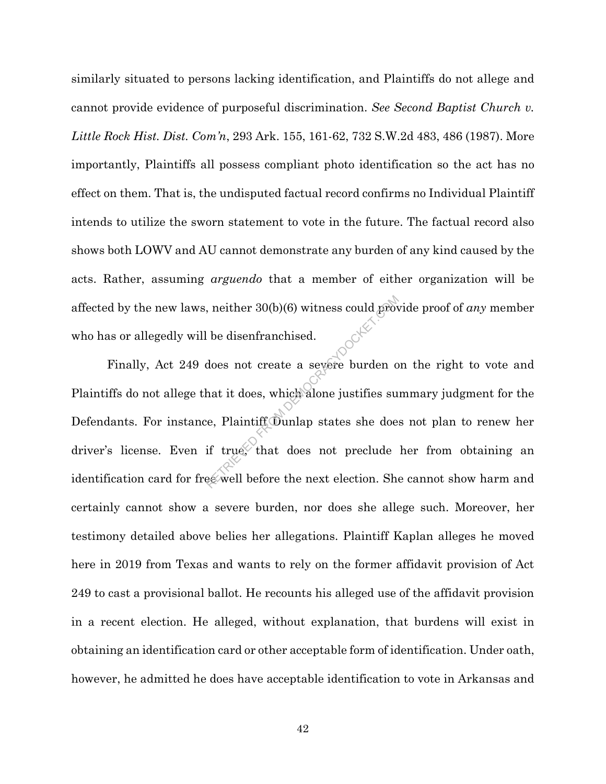similarly situated to persons lacking identification, and Plaintiffs do not allege and cannot provide evidence of purposeful discrimination. *See Second Baptist Church v. Little Rock Hist. Dist. Com'n*, 293 Ark. 155, 161-62, 732 S.W.2d 483, 486 (1987). More importantly, Plaintiffs all possess compliant photo identification so the act has no effect on them. That is, the undisputed factual record confirms no Individual Plaintiff intends to utilize the sworn statement to vote in the future. The factual record also shows both LOWV and AU cannot demonstrate any burden of any kind caused by the acts. Rather, assuming *arguendo* that a member of either organization will be who has or allegedly will be disenfranchised.

affected by the new laws, neither 30(b)(6) witness could provide proof of *any* member<br>
who has or allegedly will be disenfranchised.<br>
Finally, Act 249 does not create a severe burden on the right to vote and<br>
Plaintiffs d Finally, Act 249 does not create a severe burden on the right to vote and Plaintiffs do not allege that it does, which alone justifies summary judgment for the Defendants. For instance, Plaintiff Dunlap states she does not plan to renew her driver's license. Even if true, that does not preclude her from obtaining an identification card for free well before the next election. She cannot show harm and certainly cannot show a severe burden, nor does she allege such. Moreover, her testimony detailed above belies her allegations. Plaintiff Kaplan alleges he moved here in 2019 from Texas and wants to rely on the former affidavit provision of Act 249 to cast a provisional ballot. He recounts his alleged use of the affidavit provision in a recent election. He alleged, without explanation, that burdens will exist in obtaining an identification card or other acceptable form of identification. Under oath, however, he admitted he does have acceptable identification to vote in Arkansas and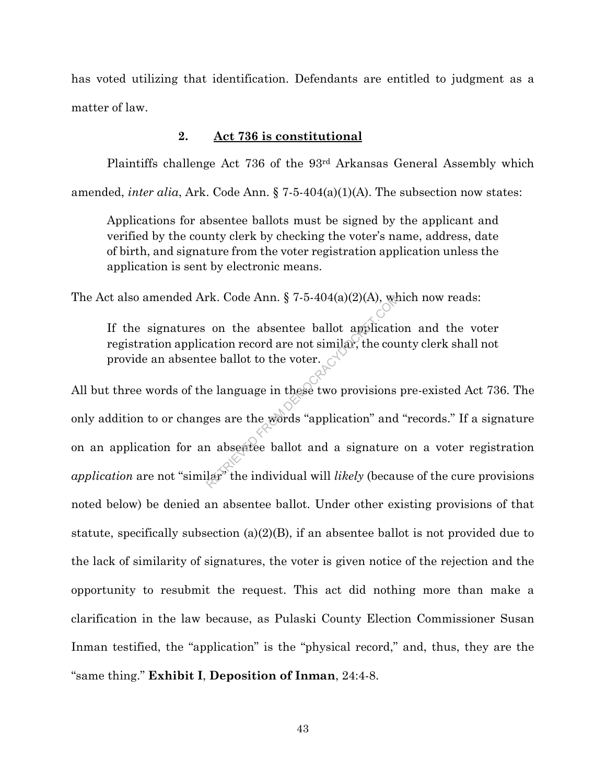has voted utilizing that identification. Defendants are entitled to judgment as a matter of law.

## **2. Act 736 is constitutional**

Plaintiffs challenge Act 736 of the 93rd Arkansas General Assembly which amended, *inter alia*, Ark. Code Ann. § 7-5-404(a)(1)(A). The subsection now states:

Applications for absentee ballots must be signed by the applicant and verified by the county clerk by checking the voter's name, address, date of birth, and signature from the voter registration application unless the application is sent by electronic means.

The Act also amended Ark. Code Ann. § 7-5-404(a)(2)(A), which now reads:

If the signatures on the absentee ballot application and the voter registration application record are not similar, the county clerk shall not provide an absentee ballot to the voter.

All but three words of the language in these two provisions pre-existed Act 736. The only addition to or changes are the words "application" and "records." If a signature on an application for an absentee ballot and a signature on a voter registration *application* are not "similar" the individual will *likely* (because of the cure provisions noted below) be denied an absentee ballot. Under other existing provisions of that statute, specifically subsection (a)(2)(B), if an absentee ballot is not provided due to the lack of similarity of signatures, the voter is given notice of the rejection and the opportunity to resubmit the request. This act did nothing more than make a clarification in the law because, as Pulaski County Election Commissioner Susan Inman testified, the "application" is the "physical record," and, thus, they are the "same thing." **Exhibit I**, **Deposition of Inman**, 24:4-8. rk. Code Ann.  $\S$  7-5-404(a)(2)(A), we<br>on the absentee ballot applicaties<br>tion record are not similar, the course ballot to the voter.<br>e language in these two provisions<br>ges are the words "application" and<br>n absentee ball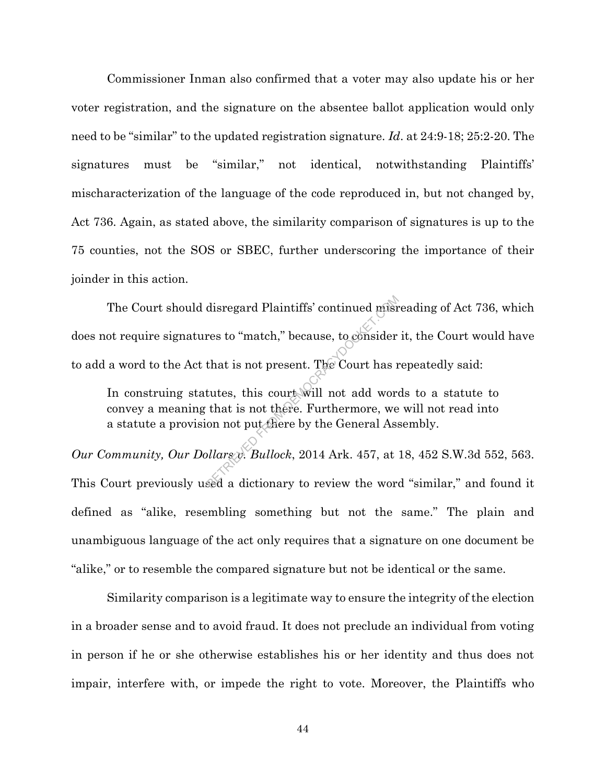Commissioner Inman also confirmed that a voter may also update his or her voter registration, and the signature on the absentee ballot application would only need to be "similar" to the updated registration signature. *Id*. at 24:9-18; 25:2-20. The signatures must be "similar," not identical, notwithstanding Plaintiffs' mischaracterization of the language of the code reproduced in, but not changed by, Act 736. Again, as stated above, the similarity comparison of signatures is up to the 75 counties, not the SOS or SBEC, further underscoring the importance of their joinder in this action.

The Court should disregard Plaintiffs' continued misreading of Act 736, which does not require signatures to "match," because, to consider it, the Court would have to add a word to the Act that is not present. The Court has repeatedly said: disregard Plaintiffs' continued mish<br>res to "match," because, to consider<br>that is not present. The Court has r<br>tutes, this court will not add word<br>that is not there. Furthermore, we<br>on not put there by the General Ass<br>plla

In construing statutes, this court will not add words to a statute to convey a meaning that is not there. Furthermore, we will not read into a statute a provision not put there by the General Assembly.

*Our Community, Our Dollars v. Bullock*, 2014 Ark. 457, at 18, 452 S.W.3d 552, 563. This Court previously used a dictionary to review the word "similar," and found it defined as "alike, resembling something but not the same." The plain and unambiguous language of the act only requires that a signature on one document be "alike," or to resemble the compared signature but not be identical or the same.

Similarity comparison is a legitimate way to ensure the integrity of the election in a broader sense and to avoid fraud. It does not preclude an individual from voting in person if he or she otherwise establishes his or her identity and thus does not impair, interfere with, or impede the right to vote. Moreover, the Plaintiffs who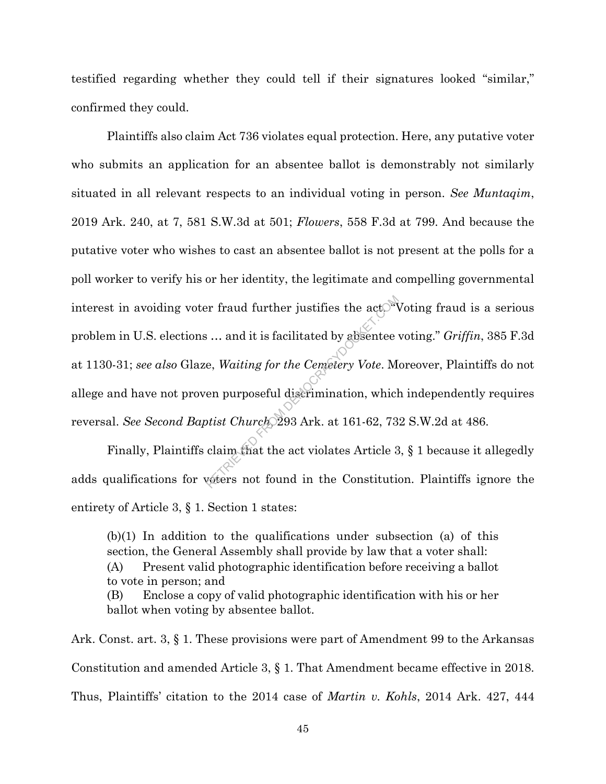testified regarding whether they could tell if their signatures looked "similar," confirmed they could.

Plaintiffs also claim Act 736 violates equal protection. Here, any putative voter who submits an application for an absentee ballot is demonstrably not similarly situated in all relevant respects to an individual voting in person. *See Muntaqim*, 2019 Ark. 240, at 7, 581 S.W.3d at 501; *Flowers*, 558 F.3d at 799. And because the putative voter who wishes to cast an absentee ballot is not present at the polls for a poll worker to verify his or her identity, the legitimate and compelling governmental interest in avoiding voter fraud further justifies the act. Voting fraud is a serious problem in U.S. elections … and it is facilitated by absentee voting." *Griffin*, 385 F.3d at 1130-31; *see also* Glaze, *Waiting for the Cemetery Vote*. Moreover, Plaintiffs do not allege and have not proven purposeful discrimination, which independently requires reversal. *See Second Baptist Church*, 293 Ark. at 161-62, 732 S.W.2d at 486. For fraud further justifies the actors<br>  $\therefore$  and it is facilitated by absentee<br>
e, *Waiting for the Cemetery Vote*. M<br>
en purposeful discrimination, which<br>
otist Church 293 Ark. at 161-62, 73<br>
claim that the act violates

Finally, Plaintiffs claim that the act violates Article 3, § 1 because it allegedly adds qualifications for voters not found in the Constitution. Plaintiffs ignore the entirety of Article 3, § 1. Section 1 states:

 $(b)(1)$  In addition to the qualifications under subsection (a) of this section, the General Assembly shall provide by law that a voter shall: (A) Present valid photographic identification before receiving a ballot to vote in person; and (B) Enclose a copy of valid photographic identification with his or her ballot when voting by absentee ballot.

Ark. Const. art. 3, § 1. These provisions were part of Amendment 99 to the Arkansas Constitution and amended Article 3, § 1. That Amendment became effective in 2018. Thus, Plaintiffs' citation to the 2014 case of *Martin v. Kohls*, 2014 Ark. 427, 444

45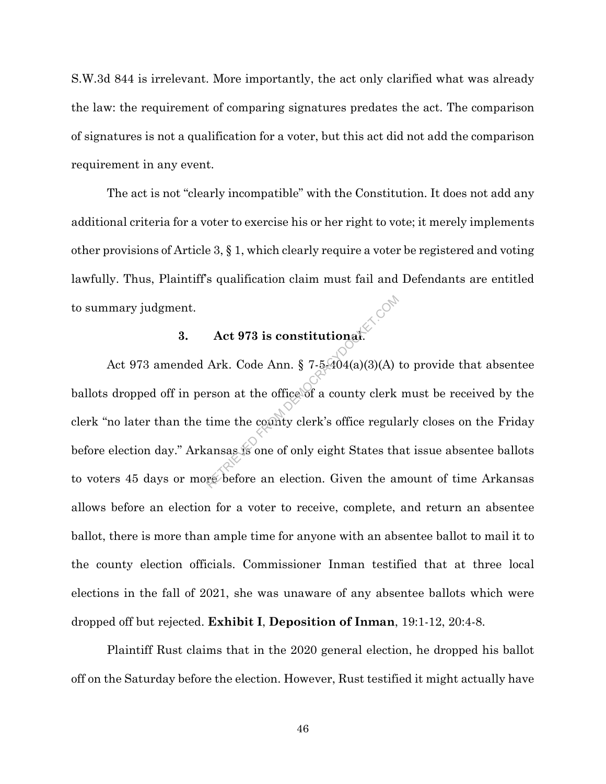S.W.3d 844 is irrelevant. More importantly, the act only clarified what was already the law: the requirement of comparing signatures predates the act. The comparison of signatures is not a qualification for a voter, but this act did not add the comparison requirement in any event.

The act is not "clearly incompatible" with the Constitution. It does not add any additional criteria for a voter to exercise his or her right to vote; it merely implements other provisions of Article 3, § 1, which clearly require a voter be registered and voting lawfully. Thus, Plaintiff's qualification claim must fail and Defendants are entitled to summary judgment.

## **3. Act 973 is constitutional**.

Act 973 amended Ark. Code Ann. § 7-5-404(a)(3)(A) to provide that absentee ballots dropped off in person at the office of a county clerk must be received by the clerk "no later than the time the county clerk's office regularly closes on the Friday before election day." Arkansas is one of only eight States that issue absentee ballots to voters 45 days or more before an election. Given the amount of time Arkansas allows before an election for a voter to receive, complete, and return an absentee ballot, there is more than ample time for anyone with an absentee ballot to mail it to the county election officials. Commissioner Inman testified that at three local elections in the fall of 2021, she was unaware of any absentee ballots which were dropped off but rejected. **Exhibit I**, **Deposition of Inman**, 19:1-12, 20:4-8. Act 973 is constitutional.<br>Ark. Code Ann. § 7-5404(a)(3)(A)<br>rson at the office of a county clerk<br>time the county clerk's office regular<br>ansas is one of only eight States the<br>referee an election. Given the an

Plaintiff Rust claims that in the 2020 general election, he dropped his ballot off on the Saturday before the election. However, Rust testified it might actually have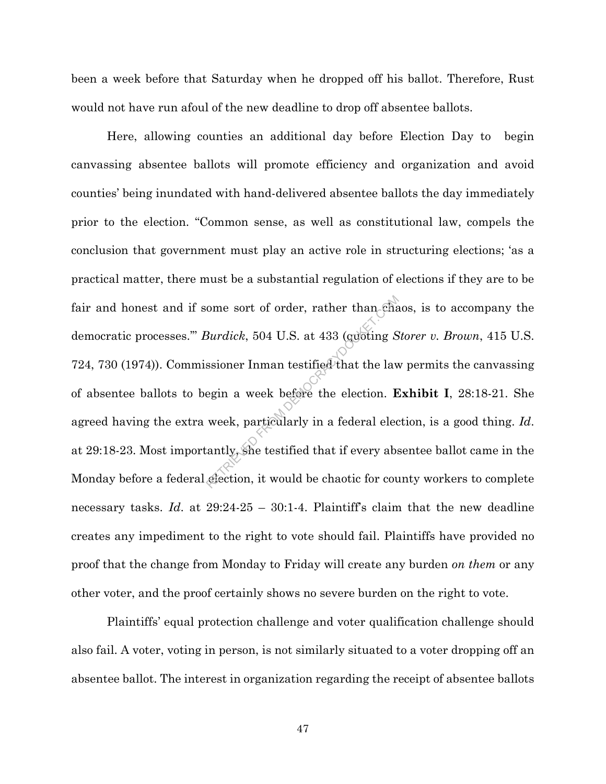been a week before that Saturday when he dropped off his ballot. Therefore, Rust would not have run afoul of the new deadline to drop off absentee ballots.

Here, allowing counties an additional day before Election Day to begin canvassing absentee ballots will promote efficiency and organization and avoid counties' being inundated with hand-delivered absentee ballots the day immediately prior to the election. "Common sense, as well as constitutional law, compels the conclusion that government must play an active role in structuring elections; 'as a practical matter, there must be a substantial regulation of elections if they are to be fair and honest and if some sort of order, rather than chaos, is to accompany the democratic processes.'" *Burdick*, 504 U.S. at 433 (quoting *Storer v. Brown*, 415 U.S. 724, 730 (1974)). Commissioner Inman testified that the law permits the canvassing of absentee ballots to begin a week before the election. **Exhibit I**, 28:18-21. She agreed having the extra week, particularly in a federal election, is a good thing. *Id*. at 29:18-23. Most importantly, she testified that if every absentee ballot came in the Monday before a federal election, it would be chaotic for county workers to complete necessary tasks. *Id.* at 29:24-25 – 30:1-4. Plaintiff's claim that the new deadline creates any impediment to the right to vote should fail. Plaintiffs have provided no proof that the change from Monday to Friday will create any burden *on them* or any other voter, and the proof certainly shows no severe burden on the right to vote. ome sort of order, rather than characterized by a survive control of the series of the series of the series of the election. **E** week, particularly in a federal election. **E** week, particularly in a federal election. **E** w

Plaintiffs' equal protection challenge and voter qualification challenge should also fail. A voter, voting in person, is not similarly situated to a voter dropping off an absentee ballot. The interest in organization regarding the receipt of absentee ballots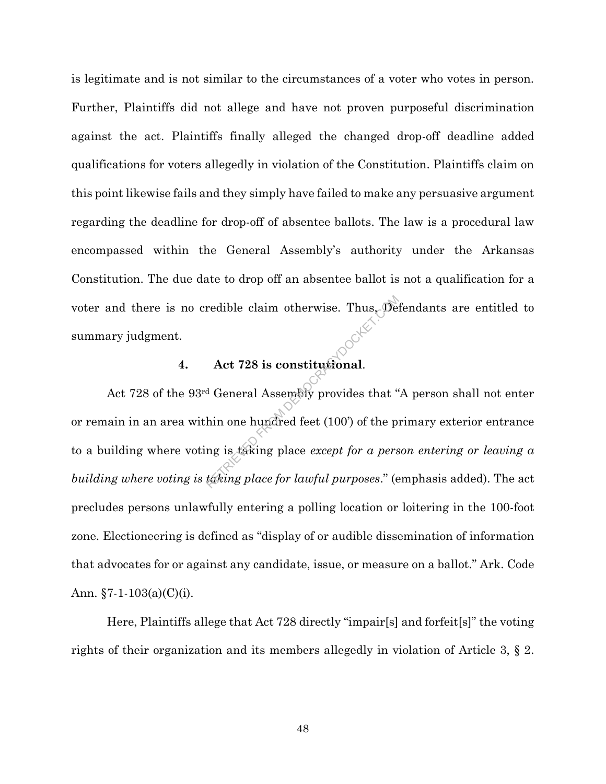is legitimate and is not similar to the circumstances of a voter who votes in person. Further, Plaintiffs did not allege and have not proven purposeful discrimination against the act. Plaintiffs finally alleged the changed drop-off deadline added qualifications for voters allegedly in violation of the Constitution. Plaintiffs claim on this point likewise fails and they simply have failed to make any persuasive argument regarding the deadline for drop-off of absentee ballots. The law is a procedural law encompassed within the General Assembly's authority under the Arkansas Constitution. The due date to drop off an absentee ballot is not a qualification for a voter and there is no credible claim otherwise. Thus, Defendants are entitled to summary judgment.

# **4. Act 728 is constitutional**.

Act 728 of the 93rd General Assembly provides that "A person shall not enter or remain in an area within one hundred feet (100') of the primary exterior entrance to a building where voting is taking place *except for a person entering or leaving a building where voting is taking place for lawful purposes*." (emphasis added). The act precludes persons unlawfully entering a polling location or loitering in the 100-foot zone. Electioneering is defined as "display of or audible dissemination of information that advocates for or against any candidate, issue, or measure on a ballot." Ark. Code Ann.  $\S 7 - 1 - 103(a)(C)(i)$ . redible claim otherwise. Thus, Def<br>Act 728 is constitutional.<br>d General Assembly provides that "<br>hin one hundred feet (100') of the proper<br>ng is taking place except for a pers<br>taking place for lawful purposes." (e

Here, Plaintiffs allege that Act 728 directly "impair[s] and forfeit[s]" the voting rights of their organization and its members allegedly in violation of Article 3, § 2.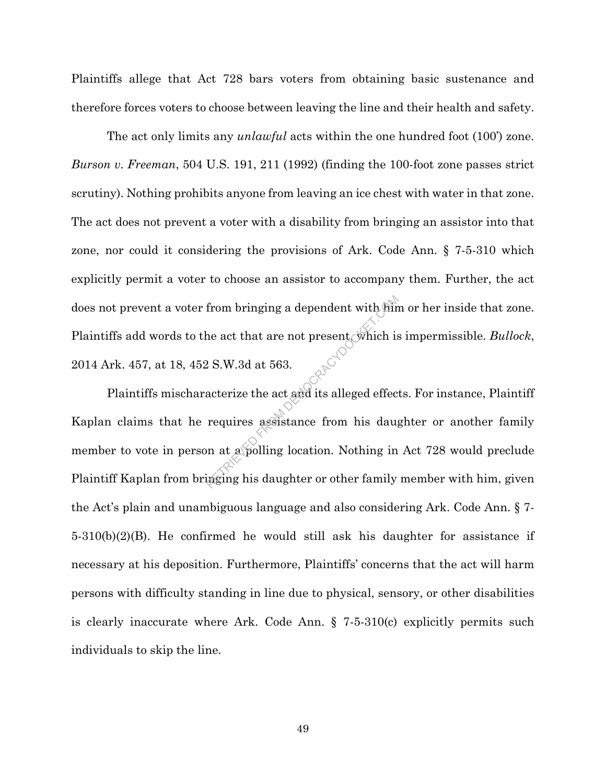Plaintiffs allege that Act 728 bars voters from obtaining basic sustenance and therefore forces voters to choose between leaving the line and their health and safety.

The act only limits any *unlawful* acts within the one hundred foot (100') zone. *Burson v. Freeman*, 504 U.S. 191, 211 (1992) (finding the 100-foot zone passes strict scrutiny). Nothing prohibits anyone from leaving an ice chest with water in that zone. The act does not prevent a voter with a disability from bringing an assistor into that zone, nor could it considering the provisions of Ark. Code Ann. § 7-5-310 which explicitly permit a voter to choose an assistor to accompany them. Further, the act does not prevent a voter from bringing a dependent with him or her inside that zone. Plaintiffs add words to the act that are not present, which is impermissible. *Bullock*, 2014 Ark. 457, at 18, 452 S.W.3d at 563.

Plaintiffs mischaracterize the act and its alleged effects. For instance, Plaintiff Kaplan claims that he requires assistance from his daughter or another family member to vote in person at a polling location. Nothing in Act 728 would preclude Plaintiff Kaplan from bringing his daughter or other family member with him, given the Act's plain and unambiguous language and also considering Ark. Code Ann. § 7- 5-310(b)(2)(B). He confirmed he would still ask his daughter for assistance if necessary at his deposition. Furthermore, Plaintiffs' concerns that the act will harm persons with difficulty standing in line due to physical, sensory, or other disabilities is clearly inaccurate where Ark. Code Ann. § 7-5-310(c) explicitly permits such individuals to skip the line. from bringing a dependent with fain<br>he act that are not present which is<br>2 S.W.3d at 563.<br>acterize the act and its alleged effec<br>requires assistance from his daughter<br>are in this daughter or other family<br>inging his daught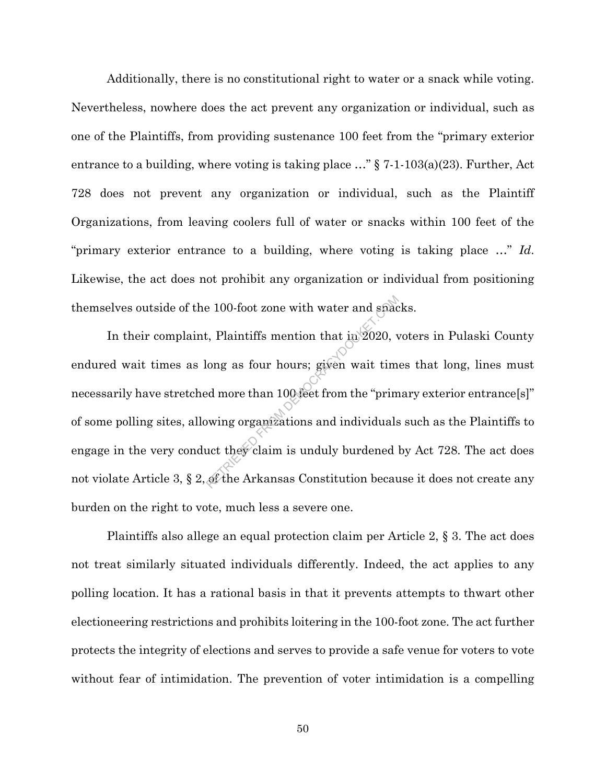Additionally, there is no constitutional right to water or a snack while voting. Nevertheless, nowhere does the act prevent any organization or individual, such as one of the Plaintiffs, from providing sustenance 100 feet from the "primary exterior entrance to a building, where voting is taking place  $\ldots$ " § 7-1-103(a)(23). Further, Act 728 does not prevent any organization or individual, such as the Plaintiff Organizations, from leaving coolers full of water or snacks within 100 feet of the "primary exterior entrance to a building, where voting is taking place …" *Id*. Likewise, the act does not prohibit any organization or individual from positioning themselves outside of the 100-foot zone with water and snacks.

In their complaint, Plaintiffs mention that in 2020, voters in Pulaski County endured wait times as long as four hours; given wait times that long, lines must necessarily have stretched more than 100 feet from the "primary exterior entrance[s]" of some polling sites, allowing organizations and individuals such as the Plaintiffs to engage in the very conduct they claim is unduly burdened by Act 728. The act does not violate Article 3, § 2, of the Arkansas Constitution because it does not create any burden on the right to vote, much less a severe one. e 100-foot zone with water and space<br>t, Plaintiffs mention that in 2020, v<br>long as four hours; given wait tim<br>ed more than 100-feet from the "prim"<br>wing organizations and individuals<br>uct they claim is unduly burdened

Plaintiffs also allege an equal protection claim per Article 2, § 3. The act does not treat similarly situated individuals differently. Indeed, the act applies to any polling location. It has a rational basis in that it prevents attempts to thwart other electioneering restrictions and prohibits loitering in the 100-foot zone. The act further protects the integrity of elections and serves to provide a safe venue for voters to vote without fear of intimidation. The prevention of voter intimidation is a compelling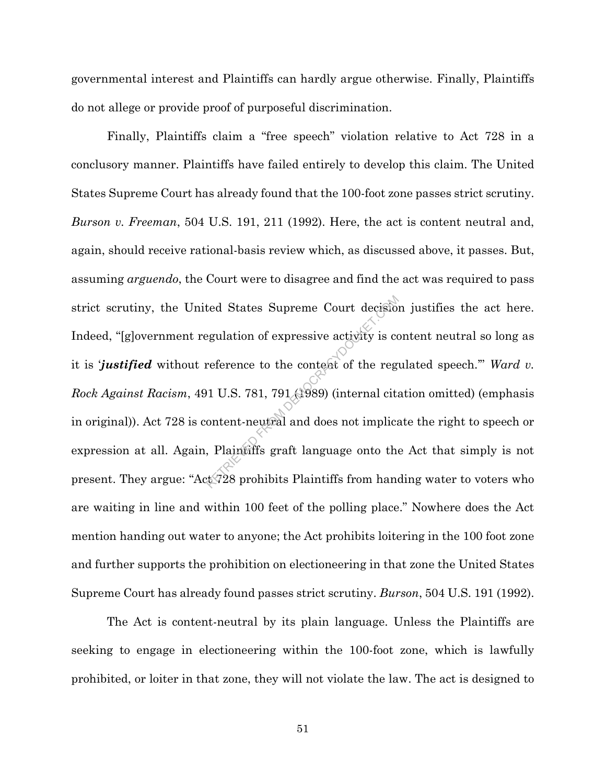governmental interest and Plaintiffs can hardly argue otherwise. Finally, Plaintiffs do not allege or provide proof of purposeful discrimination.

Finally, Plaintiffs claim a "free speech" violation relative to Act 728 in a conclusory manner. Plaintiffs have failed entirely to develop this claim. The United States Supreme Court has already found that the 100-foot zone passes strict scrutiny. *Burson v. Freeman*, 504 U.S. 191, 211 (1992). Here, the act is content neutral and, again, should receive rational-basis review which, as discussed above, it passes. But, assuming *arguendo*, the Court were to disagree and find the act was required to pass strict scrutiny, the United States Supreme Court decision justifies the act here. Indeed, "[g]overnment regulation of expressive activity is content neutral so long as it is *justified* without reference to the content of the regulated speech." Ward v. *Rock Against Racism*, 491 U.S. 781, 791 (1989) (internal citation omitted) (emphasis in original)). Act 728 is content-neutral and does not implicate the right to speech or expression at all. Again, Plaintiffs graft language onto the Act that simply is not present. They argue: "Act 728 prohibits Plaintiffs from handing water to voters who are waiting in line and within 100 feet of the polling place." Nowhere does the Act mention handing out water to anyone; the Act prohibits loitering in the 100 foot zone and further supports the prohibition on electioneering in that zone the United States Supreme Court has already found passes strict scrutiny. *Burson*, 504 U.S. 191 (1992). ted States Supreme Court decision<br>egulation of expressive activity is correference to the content of the reg<br>neference to the content of the reg<br>net of the reg<br>net ontent-neutral and does not implica<br>, Plaintiffs graft lan

The Act is content-neutral by its plain language. Unless the Plaintiffs are seeking to engage in electioneering within the 100-foot zone, which is lawfully prohibited, or loiter in that zone, they will not violate the law. The act is designed to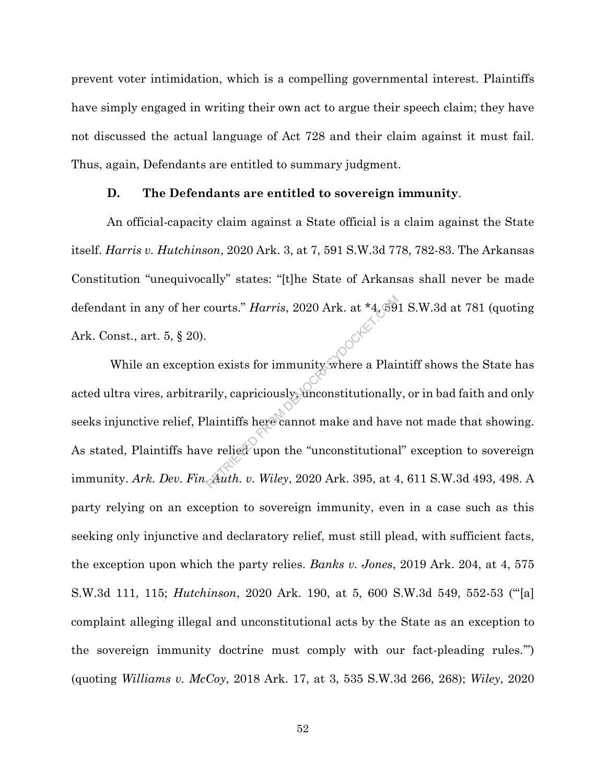prevent voter intimidation, which is a compelling governmental interest. Plaintiffs have simply engaged in writing their own act to argue their speech claim; they have not discussed the actual language of Act 728 and their claim against it must fail. Thus, again, Defendants are entitled to summary judgment.

#### **D. The Defendants are entitled to sovereign immunity**.

An official-capacity claim against a State official is a claim against the State itself. *Harris v. Hutchinson*, 2020 Ark. 3, at 7, 591 S.W.3d 778, 782-83. The Arkansas Constitution "unequivocally" states: "[t]he State of Arkansas shall never be made defendant in any of her courts." *Harris*, 2020 Ark. at \*4, 591 S.W.3d at 781 (quoting Ark. Const., art. 5, § 20). While an exception exists for immunity where a Plaintiff shows the State has

acted ultra vires, arbitrarily, capriciously, unconstitutionally, or in bad faith and only seeks injunctive relief, Plaintiffs here cannot make and have not made that showing. As stated, Plaintiffs have relied upon the "unconstitutional" exception to sovereign immunity. *Ark. Dev. Fin. Auth. v. Wiley*, 2020 Ark. 395, at 4, 611 S.W.3d 493, 498. A party relying on an exception to sovereign immunity, even in a case such as this seeking only injunctive and declaratory relief, must still plead, with sufficient facts, the exception upon which the party relies. *Banks v. Jones*, 2019 Ark. 204, at 4, 575 S.W.3d 111, 115; *Hutchinson*, 2020 Ark. 190, at 5, 600 S.W.3d 549, 552-53 ("'[a] complaint alleging illegal and unconstitutional acts by the State as an exception to the sovereign immunity doctrine must comply with our fact-pleading rules.'") (quoting *Williams v. McCoy*, 2018 Ark. 17, at 3, 535 S.W.3d 266, 268); *Wiley*, 2020 Reports." Harris, 2020 Ark. at \*4, 59<br>
In exists for immunity where a Plain<br>
rily, capriciously, unconstitutionally<br>
laintiffs here cannot make and have<br>
replied upon the "unconstitutional<br>
Auth. v. Wiley, 2020 Ark. 395, a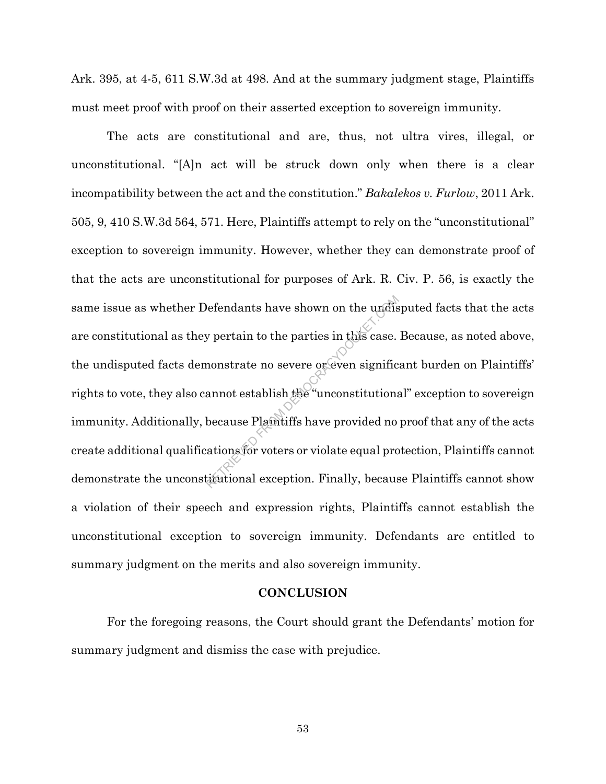Ark. 395, at 4-5, 611 S.W.3d at 498. And at the summary judgment stage, Plaintiffs must meet proof with proof on their asserted exception to sovereign immunity.

The acts are constitutional and are, thus, not ultra vires, illegal, or unconstitutional. "[A]n act will be struck down only when there is a clear incompatibility between the act and the constitution." *Bakalekos v. Furlow*, 2011 Ark. 505, 9, 410 S.W.3d 564, 571. Here, Plaintiffs attempt to rely on the "unconstitutional" exception to sovereign immunity. However, whether they can demonstrate proof of that the acts are unconstitutional for purposes of Ark. R. Civ. P. 56, is exactly the same issue as whether Defendants have shown on the undisputed facts that the acts are constitutional as they pertain to the parties in this case. Because, as noted above, the undisputed facts demonstrate no severe or even significant burden on Plaintiffs' rights to vote, they also cannot establish the "unconstitutional" exception to sovereign immunity. Additionally, because Plaintiffs have provided no proof that any of the acts create additional qualifications for voters or violate equal protection, Plaintiffs cannot demonstrate the unconstitutional exception. Finally, because Plaintiffs cannot show a violation of their speech and expression rights, Plaintiffs cannot establish the unconstitutional exception to sovereign immunity. Defendants are entitled to summary judgment on the merits and also sovereign immunity. efendants have shown on the undis<br>y pertain to the parties in this case.<br>nonstrate no severe or even signific<br>annot establish the "unconstitutions<br>because Plantiffs have provided no<br>ations for voters or violate equal pro<br>t

## **CONCLUSION**

For the foregoing reasons, the Court should grant the Defendants' motion for summary judgment and dismiss the case with prejudice.